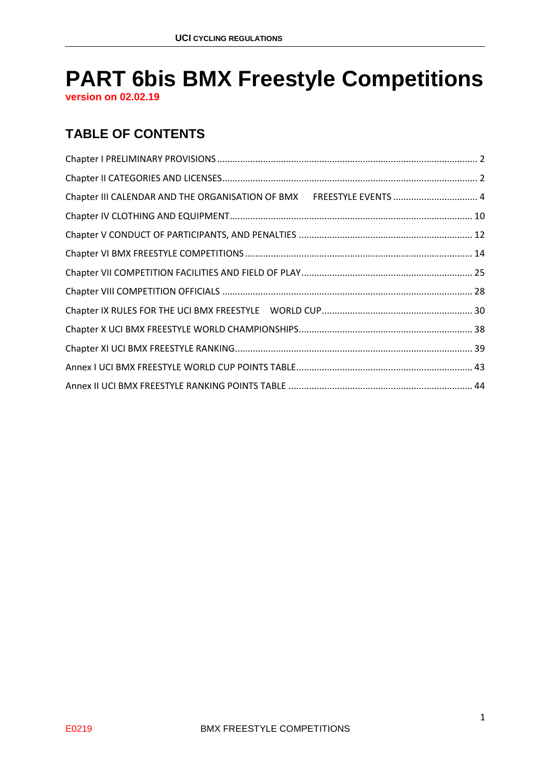# **PART 6bis BMX Freestyle Competitions**

**version on 02.02.19**

### **TABLE OF CONTENTS**

| Chapter III CALENDAR AND THE ORGANISATION OF BMX FREESTYLE EVENTS  4 |  |
|----------------------------------------------------------------------|--|
|                                                                      |  |
|                                                                      |  |
|                                                                      |  |
|                                                                      |  |
|                                                                      |  |
|                                                                      |  |
|                                                                      |  |
|                                                                      |  |
|                                                                      |  |
|                                                                      |  |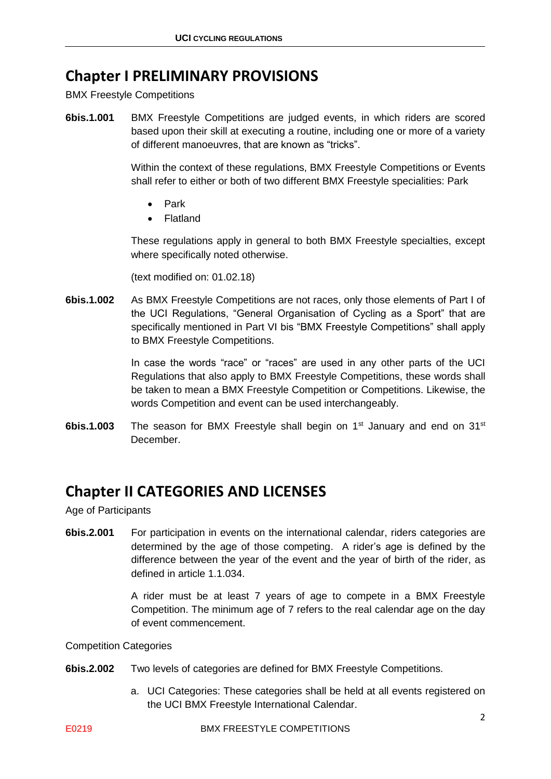### <span id="page-1-0"></span>**Chapter I PRELIMINARY PROVISIONS**

BMX Freestyle Competitions

**6bis.1.001** BMX Freestyle Competitions are judged events, in which riders are scored based upon their skill at executing a routine, including one or more of a variety of different manoeuvres, that are known as "tricks".

> Within the context of these regulations, BMX Freestyle Competitions or Events shall refer to either or both of two different BMX Freestyle specialities: Park

- Park
- Flatland

These regulations apply in general to both BMX Freestyle specialties, except where specifically noted otherwise.

(text modified on: 01.02.18)

**6bis.1.002** As BMX Freestyle Competitions are not races, only those elements of Part I of the UCI Regulations, "General Organisation of Cycling as a Sport" that are specifically mentioned in Part VI bis "BMX Freestyle Competitions" shall apply to BMX Freestyle Competitions.

> In case the words "race" or "races" are used in any other parts of the UCI Regulations that also apply to BMX Freestyle Competitions, these words shall be taken to mean a BMX Freestyle Competition or Competitions. Likewise, the words Competition and event can be used interchangeably.

**6bis.1.003** The season for BMX Freestyle shall begin on 1<sup>st</sup> January and end on 31<sup>st</sup> December.

### <span id="page-1-1"></span>**Chapter II CATEGORIES AND LICENSES**

Age of Participants

**6bis.2.001** For participation in events on the international calendar, riders categories are determined by the age of those competing. A rider's age is defined by the difference between the year of the event and the year of birth of the rider, as defined in article 1.1.034.

> A rider must be at least 7 years of age to compete in a BMX Freestyle Competition. The minimum age of 7 refers to the real calendar age on the day of event commencement.

#### Competition Categories

- **6bis.2.002** Two levels of categories are defined for BMX Freestyle Competitions.
	- a. UCI Categories: These categories shall be held at all events registered on the UCI BMX Freestyle International Calendar.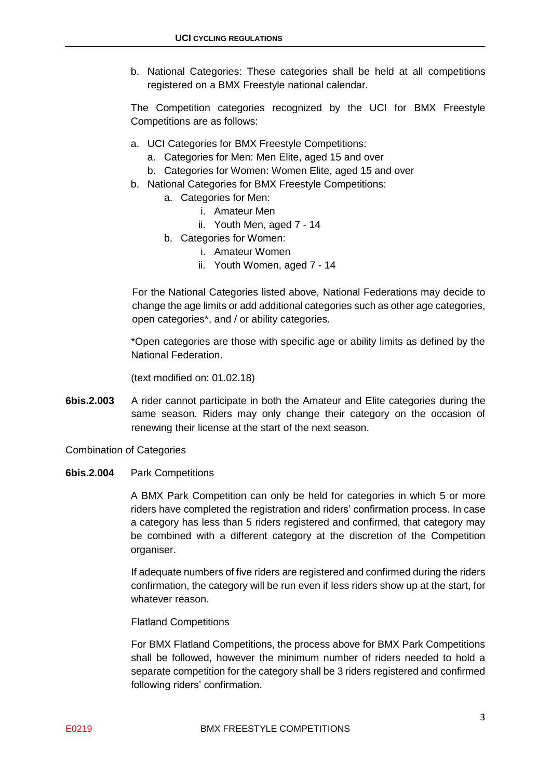b. National Categories: These categories shall be held at all competitions registered on a BMX Freestyle national calendar.

The Competition categories recognized by the UCI for BMX Freestyle Competitions are as follows:

- a. UCI Categories for BMX Freestyle Competitions:
	- a. Categories for Men: Men Elite, aged 15 and over
	- b. Categories for Women: Women Elite, aged 15 and over
- b. National Categories for BMX Freestyle Competitions:
	- a. Categories for Men:
		- i. Amateur Men
		- ii. Youth Men, aged 7 14
	- b. Categories for Women:
		- i. Amateur Women
		- ii. Youth Women, aged 7 14

For the National Categories listed above, National Federations may decide to change the age limits or add additional categories such as other age categories, open categories\*, and / or ability categories.

\*Open categories are those with specific age or ability limits as defined by the National Federation.

(text modified on: 01.02.18)

**6bis.2.003** A rider cannot participate in both the Amateur and Elite categories during the same season. Riders may only change their category on the occasion of renewing their license at the start of the next season.

Combination of Categories

**6bis.2.004** Park Competitions

A BMX Park Competition can only be held for categories in which 5 or more riders have completed the registration and riders' confirmation process. In case a category has less than 5 riders registered and confirmed, that category may be combined with a different category at the discretion of the Competition organiser.

If adequate numbers of five riders are registered and confirmed during the riders confirmation, the category will be run even if less riders show up at the start, for whatever reason.

Flatland Competitions

For BMX Flatland Competitions, the process above for BMX Park Competitions shall be followed, however the minimum number of riders needed to hold a separate competition for the category shall be 3 riders registered and confirmed following riders' confirmation.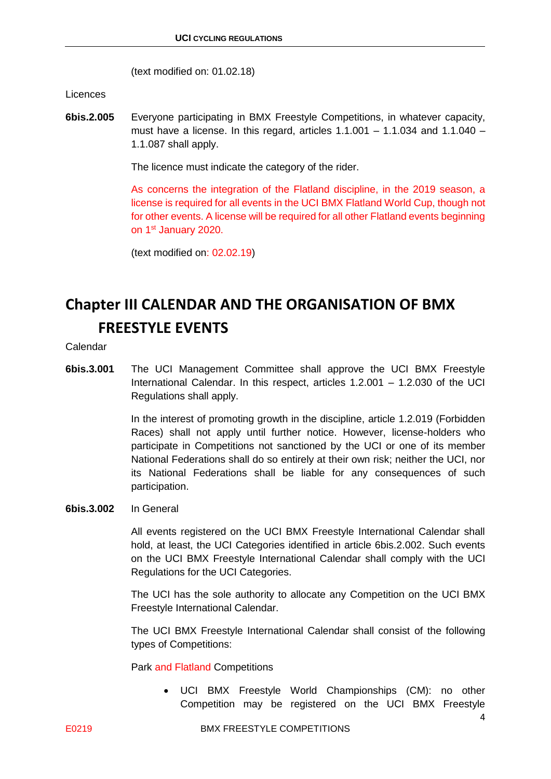(text modified on: 01.02.18)

Licences

**6bis.2.005** Everyone participating in BMX Freestyle Competitions, in whatever capacity, must have a license. In this regard, articles  $1.1.001 - 1.1.034$  and  $1.1.040 -$ 1.1.087 shall apply.

The licence must indicate the category of the rider.

As concerns the integration of the Flatland discipline, in the 2019 season, a license is required for all events in the UCI BMX Flatland World Cup, though not for other events. A license will be required for all other Flatland events beginning on 1st January 2020.

(text modified on: 02.02.19)

# <span id="page-3-0"></span>**Chapter III CALENDAR AND THE ORGANISATION OF BMX FREESTYLE EVENTS**

Calendar

**6bis.3.001** The UCI Management Committee shall approve the UCI BMX Freestyle International Calendar. In this respect, articles 1.2.001 – 1.2.030 of the UCI Regulations shall apply.

> In the interest of promoting growth in the discipline, article 1.2.019 (Forbidden Races) shall not apply until further notice. However, license-holders who participate in Competitions not sanctioned by the UCI or one of its member National Federations shall do so entirely at their own risk; neither the UCI, nor its National Federations shall be liable for any consequences of such participation.

**6bis.3.002** In General

All events registered on the UCI BMX Freestyle International Calendar shall hold, at least, the UCI Categories identified in article 6bis.2.002. Such events on the UCI BMX Freestyle International Calendar shall comply with the UCI Regulations for the UCI Categories.

The UCI has the sole authority to allocate any Competition on the UCI BMX Freestyle International Calendar.

The UCI BMX Freestyle International Calendar shall consist of the following types of Competitions:

Park and Flatland Competitions

• UCI BMX Freestyle World Championships (CM): no other Competition may be registered on the UCI BMX Freestyle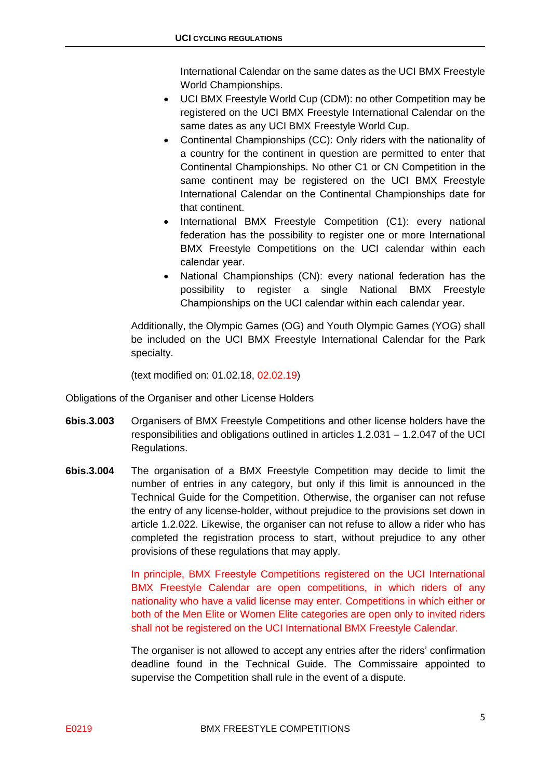International Calendar on the same dates as the UCI BMX Freestyle World Championships.

- UCI BMX Freestyle World Cup (CDM): no other Competition may be registered on the UCI BMX Freestyle International Calendar on the same dates as any UCI BMX Freestyle World Cup.
- Continental Championships (CC): Only riders with the nationality of a country for the continent in question are permitted to enter that Continental Championships. No other C1 or CN Competition in the same continent may be registered on the UCI BMX Freestyle International Calendar on the Continental Championships date for that continent.
- International BMX Freestyle Competition (C1): every national federation has the possibility to register one or more International BMX Freestyle Competitions on the UCI calendar within each calendar year.
- National Championships (CN): every national federation has the possibility to register a single National BMX Freestyle Championships on the UCI calendar within each calendar year.

Additionally, the Olympic Games (OG) and Youth Olympic Games (YOG) shall be included on the UCI BMX Freestyle International Calendar for the Park specialty.

(text modified on: 01.02.18, 02.02.19)

Obligations of the Organiser and other License Holders

- **6bis.3.003** Organisers of BMX Freestyle Competitions and other license holders have the responsibilities and obligations outlined in articles 1.2.031 – 1.2.047 of the UCI Regulations.
- **6bis.3.004** The organisation of a BMX Freestyle Competition may decide to limit the number of entries in any category, but only if this limit is announced in the Technical Guide for the Competition. Otherwise, the organiser can not refuse the entry of any license-holder, without prejudice to the provisions set down in article 1.2.022. Likewise, the organiser can not refuse to allow a rider who has completed the registration process to start, without prejudice to any other provisions of these regulations that may apply.

In principle, BMX Freestyle Competitions registered on the UCI International BMX Freestyle Calendar are open competitions, in which riders of any nationality who have a valid license may enter. Competitions in which either or both of the Men Elite or Women Elite categories are open only to invited riders shall not be registered on the UCI International BMX Freestyle Calendar.

The organiser is not allowed to accept any entries after the riders' confirmation deadline found in the Technical Guide. The Commissaire appointed to supervise the Competition shall rule in the event of a dispute.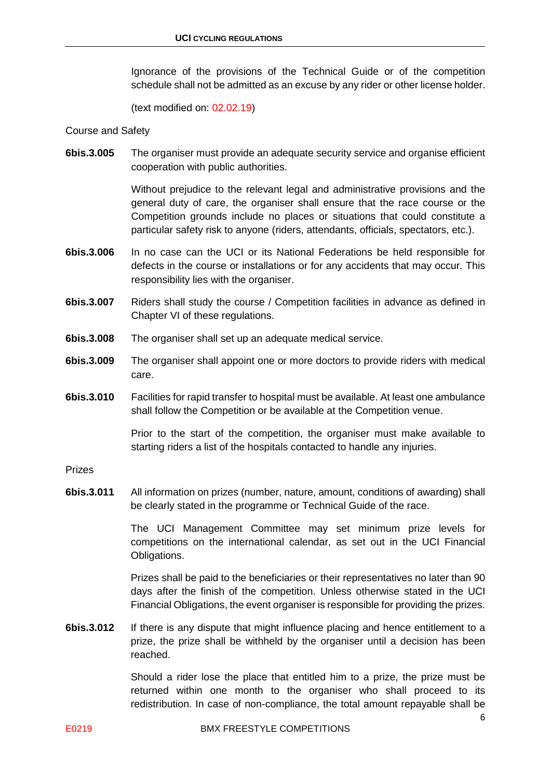Ignorance of the provisions of the Technical Guide or of the competition schedule shall not be admitted as an excuse by any rider or other license holder.

(text modified on: 02.02.19)

Course and Safety

**6bis.3.005** The organiser must provide an adequate security service and organise efficient cooperation with public authorities.

> Without prejudice to the relevant legal and administrative provisions and the general duty of care, the organiser shall ensure that the race course or the Competition grounds include no places or situations that could constitute a particular safety risk to anyone (riders, attendants, officials, spectators, etc.).

- **6bis.3.006** In no case can the UCI or its National Federations be held responsible for defects in the course or installations or for any accidents that may occur. This responsibility lies with the organiser.
- **6bis.3.007** Riders shall study the course / Competition facilities in advance as defined in Chapter VI of these regulations.
- **6bis.3.008** The organiser shall set up an adequate medical service.
- **6bis.3.009** The organiser shall appoint one or more doctors to provide riders with medical care.
- **6bis.3.010** Facilities for rapid transfer to hospital must be available. At least one ambulance shall follow the Competition or be available at the Competition venue.

Prior to the start of the competition, the organiser must make available to starting riders a list of the hospitals contacted to handle any injuries.

Prizes

**6bis.3.011** All information on prizes (number, nature, amount, conditions of awarding) shall be clearly stated in the programme or Technical Guide of the race.

> The UCI Management Committee may set minimum prize levels for competitions on the international calendar, as set out in the UCI Financial Obligations.

> Prizes shall be paid to the beneficiaries or their representatives no later than 90 days after the finish of the competition. Unless otherwise stated in the UCI Financial Obligations, the event organiser is responsible for providing the prizes.

**6bis.3.012** If there is any dispute that might influence placing and hence entitlement to a prize, the prize shall be withheld by the organiser until a decision has been reached.

> Should a rider lose the place that entitled him to a prize, the prize must be returned within one month to the organiser who shall proceed to its redistribution. In case of non-compliance, the total amount repayable shall be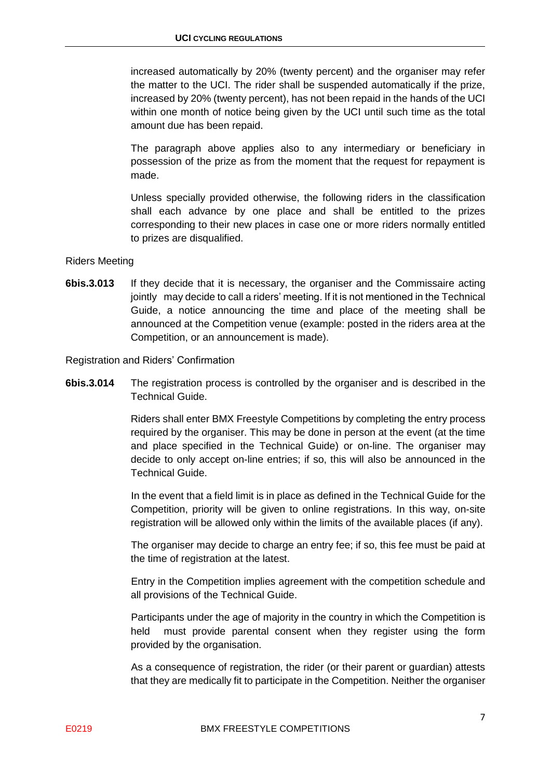increased automatically by 20% (twenty percent) and the organiser may refer the matter to the UCI. The rider shall be suspended automatically if the prize, increased by 20% (twenty percent), has not been repaid in the hands of the UCI within one month of notice being given by the UCI until such time as the total amount due has been repaid.

The paragraph above applies also to any intermediary or beneficiary in possession of the prize as from the moment that the request for repayment is made.

Unless specially provided otherwise, the following riders in the classification shall each advance by one place and shall be entitled to the prizes corresponding to their new places in case one or more riders normally entitled to prizes are disqualified.

#### Riders Meeting

**6bis.3.013** If they decide that it is necessary, the organiser and the Commissaire acting jointly may decide to call a riders' meeting. If it is not mentioned in the Technical Guide, a notice announcing the time and place of the meeting shall be announced at the Competition venue (example: posted in the riders area at the Competition, or an announcement is made).

Registration and Riders' Confirmation

**6bis.3.014** The registration process is controlled by the organiser and is described in the Technical Guide.

> Riders shall enter BMX Freestyle Competitions by completing the entry process required by the organiser. This may be done in person at the event (at the time and place specified in the Technical Guide) or on-line. The organiser may decide to only accept on-line entries; if so, this will also be announced in the Technical Guide.

> In the event that a field limit is in place as defined in the Technical Guide for the Competition, priority will be given to online registrations. In this way, on-site registration will be allowed only within the limits of the available places (if any).

> The organiser may decide to charge an entry fee; if so, this fee must be paid at the time of registration at the latest.

> Entry in the Competition implies agreement with the competition schedule and all provisions of the Technical Guide.

> Participants under the age of majority in the country in which the Competition is held must provide parental consent when they register using the form provided by the organisation.

> As a consequence of registration, the rider (or their parent or guardian) attests that they are medically fit to participate in the Competition. Neither the organiser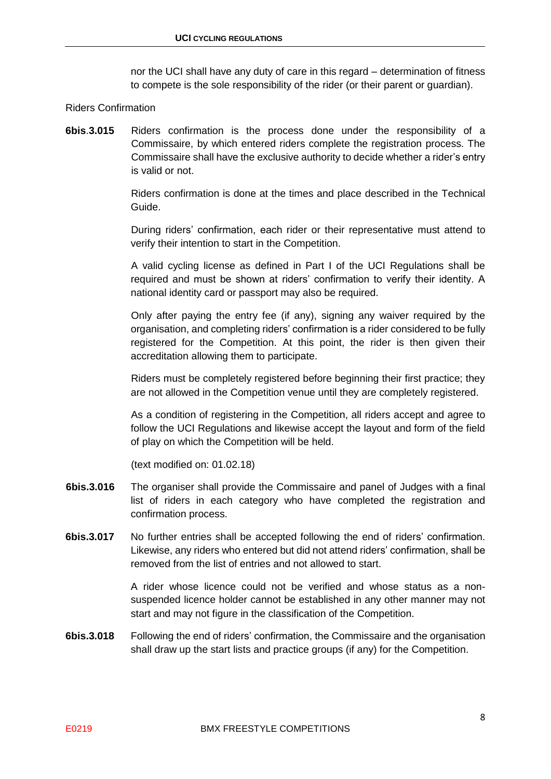nor the UCI shall have any duty of care in this regard – determination of fitness to compete is the sole responsibility of the rider (or their parent or guardian).

#### Riders Confirmation

**6bis**.**3.015** Riders confirmation is the process done under the responsibility of a Commissaire, by which entered riders complete the registration process. The Commissaire shall have the exclusive authority to decide whether a rider's entry is valid or not.

> Riders confirmation is done at the times and place described in the Technical Guide.

> During riders' confirmation, each rider or their representative must attend to verify their intention to start in the Competition.

> A valid cycling license as defined in Part I of the UCI Regulations shall be required and must be shown at riders' confirmation to verify their identity. A national identity card or passport may also be required.

> Only after paying the entry fee (if any), signing any waiver required by the organisation, and completing riders' confirmation is a rider considered to be fully registered for the Competition. At this point, the rider is then given their accreditation allowing them to participate.

> Riders must be completely registered before beginning their first practice; they are not allowed in the Competition venue until they are completely registered.

> As a condition of registering in the Competition, all riders accept and agree to follow the UCI Regulations and likewise accept the layout and form of the field of play on which the Competition will be held.

(text modified on: 01.02.18)

- **6bis.3.016** The organiser shall provide the Commissaire and panel of Judges with a final list of riders in each category who have completed the registration and confirmation process.
- **6bis.3.017** No further entries shall be accepted following the end of riders' confirmation. Likewise, any riders who entered but did not attend riders' confirmation, shall be removed from the list of entries and not allowed to start.

A rider whose licence could not be verified and whose status as a nonsuspended licence holder cannot be established in any other manner may not start and may not figure in the classification of the Competition.

**6bis.3.018** Following the end of riders' confirmation, the Commissaire and the organisation shall draw up the start lists and practice groups (if any) for the Competition.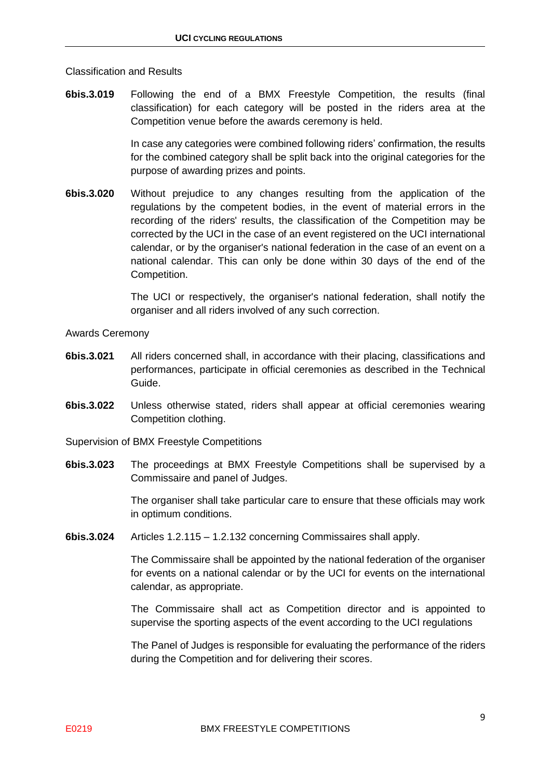#### Classification and Results

**6bis.3.019** Following the end of a BMX Freestyle Competition, the results (final classification) for each category will be posted in the riders area at the Competition venue before the awards ceremony is held.

> In case any categories were combined following riders' confirmation, the results for the combined category shall be split back into the original categories for the purpose of awarding prizes and points.

**6bis.3.020** Without prejudice to any changes resulting from the application of the regulations by the competent bodies, in the event of material errors in the recording of the riders' results, the classification of the Competition may be corrected by the UCI in the case of an event registered on the UCI international calendar, or by the organiser's national federation in the case of an event on a national calendar. This can only be done within 30 days of the end of the Competition.

> The UCI or respectively, the organiser's national federation, shall notify the organiser and all riders involved of any such correction.

Awards Ceremony

- **6bis.3.021** All riders concerned shall, in accordance with their placing, classifications and performances, participate in official ceremonies as described in the Technical Guide.
- **6bis.3.022** Unless otherwise stated, riders shall appear at official ceremonies wearing Competition clothing.

Supervision of BMX Freestyle Competitions

**6bis.3.023** The proceedings at BMX Freestyle Competitions shall be supervised by a Commissaire and panel of Judges.

> The organiser shall take particular care to ensure that these officials may work in optimum conditions.

**6bis.3.024** Articles 1.2.115 – 1.2.132 concerning Commissaires shall apply.

The Commissaire shall be appointed by the national federation of the organiser for events on a national calendar or by the UCI for events on the international calendar, as appropriate.

The Commissaire shall act as Competition director and is appointed to supervise the sporting aspects of the event according to the UCI regulations

The Panel of Judges is responsible for evaluating the performance of the riders during the Competition and for delivering their scores.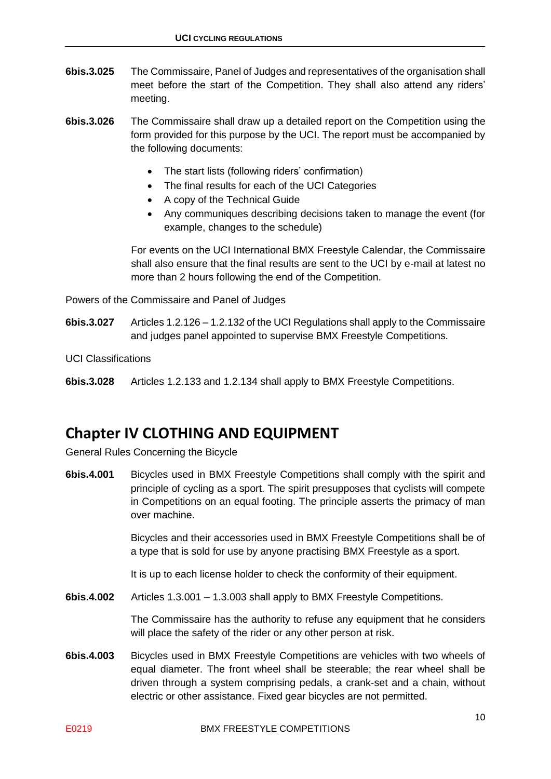- **6bis.3.025** The Commissaire, Panel of Judges and representatives of the organisation shall meet before the start of the Competition. They shall also attend any riders' meeting.
- **6bis.3.026** The Commissaire shall draw up a detailed report on the Competition using the form provided for this purpose by the UCI. The report must be accompanied by the following documents:
	- The start lists (following riders' confirmation)
	- The final results for each of the UCI Categories
	- A copy of the Technical Guide
	- Any communiques describing decisions taken to manage the event (for example, changes to the schedule)

For events on the UCI International BMX Freestyle Calendar, the Commissaire shall also ensure that the final results are sent to the UCI by e-mail at latest no more than 2 hours following the end of the Competition.

Powers of the Commissaire and Panel of Judges

**6bis.3.027** Articles 1.2.126 – 1.2.132 of the UCI Regulations shall apply to the Commissaire and judges panel appointed to supervise BMX Freestyle Competitions.

UCI Classifications

**6bis.3.028** Articles 1.2.133 and 1.2.134 shall apply to BMX Freestyle Competitions.

### <span id="page-9-0"></span>**Chapter IV CLOTHING AND EQUIPMENT**

General Rules Concerning the Bicycle

**6bis.4.001** Bicycles used in BMX Freestyle Competitions shall comply with the spirit and principle of cycling as a sport. The spirit presupposes that cyclists will compete in Competitions on an equal footing. The principle asserts the primacy of man over machine.

> Bicycles and their accessories used in BMX Freestyle Competitions shall be of a type that is sold for use by anyone practising BMX Freestyle as a sport.

It is up to each license holder to check the conformity of their equipment.

**6bis.4.002** Articles 1.3.001 – 1.3.003 shall apply to BMX Freestyle Competitions.

The Commissaire has the authority to refuse any equipment that he considers will place the safety of the rider or any other person at risk.

**6bis.4.003** Bicycles used in BMX Freestyle Competitions are vehicles with two wheels of equal diameter. The front wheel shall be steerable; the rear wheel shall be driven through a system comprising pedals, a crank-set and a chain, without electric or other assistance. Fixed gear bicycles are not permitted.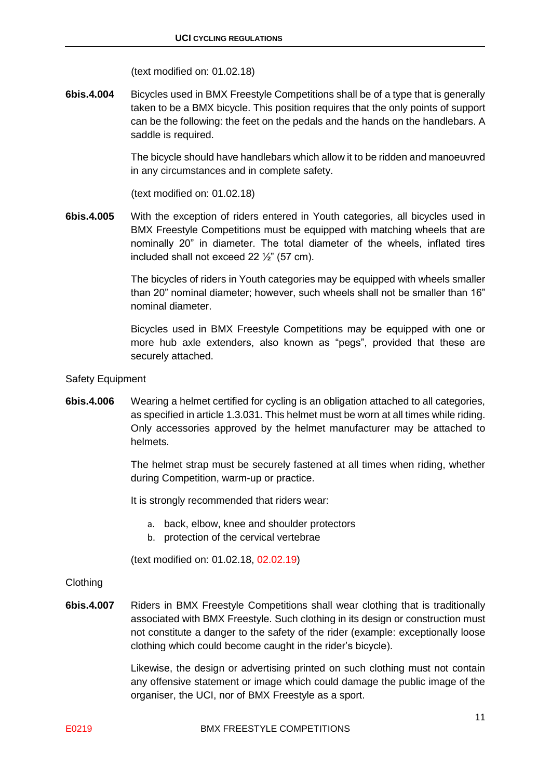(text modified on: 01.02.18)

**6bis.4.004** Bicycles used in BMX Freestyle Competitions shall be of a type that is generally taken to be a BMX bicycle. This position requires that the only points of support can be the following: the feet on the pedals and the hands on the handlebars. A saddle is required.

> The bicycle should have handlebars which allow it to be ridden and manoeuvred in any circumstances and in complete safety.

(text modified on: 01.02.18)

**6bis.4.005** With the exception of riders entered in Youth categories, all bicycles used in BMX Freestyle Competitions must be equipped with matching wheels that are nominally 20" in diameter. The total diameter of the wheels, inflated tires included shall not exceed 22  $\frac{1}{2}$  (57 cm).

> The bicycles of riders in Youth categories may be equipped with wheels smaller than 20" nominal diameter; however, such wheels shall not be smaller than 16" nominal diameter.

> Bicycles used in BMX Freestyle Competitions may be equipped with one or more hub axle extenders, also known as "pegs", provided that these are securely attached.

- Safety Equipment
- **6bis.4.006** Wearing a helmet certified for cycling is an obligation attached to all categories, as specified in article 1.3.031. This helmet must be worn at all times while riding. Only accessories approved by the helmet manufacturer may be attached to helmets.

The helmet strap must be securely fastened at all times when riding, whether during Competition, warm-up or practice.

It is strongly recommended that riders wear:

- a. back, elbow, knee and shoulder protectors
- b. protection of the cervical vertebrae

(text modified on: 01.02.18, 02.02.19)

#### Clothing

**6bis.4.007** Riders in BMX Freestyle Competitions shall wear clothing that is traditionally associated with BMX Freestyle. Such clothing in its design or construction must not constitute a danger to the safety of the rider (example: exceptionally loose clothing which could become caught in the rider's bicycle).

> Likewise, the design or advertising printed on such clothing must not contain any offensive statement or image which could damage the public image of the organiser, the UCI, nor of BMX Freestyle as a sport.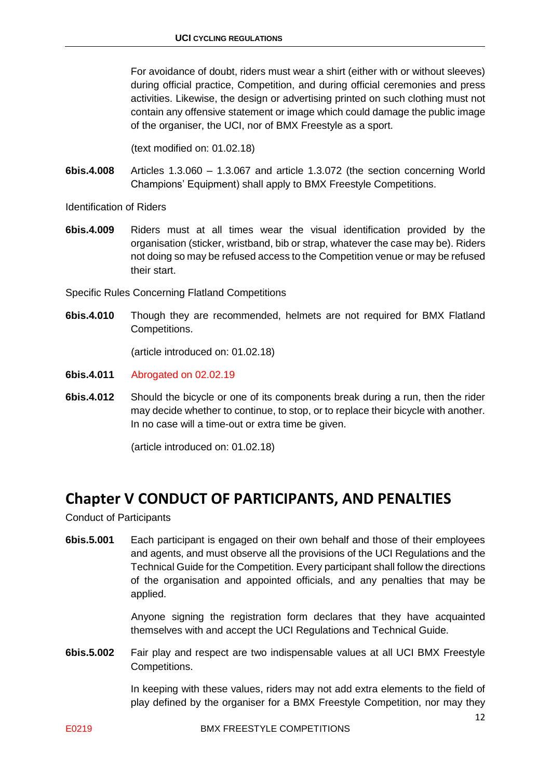For avoidance of doubt, riders must wear a shirt (either with or without sleeves) during official practice, Competition, and during official ceremonies and press activities. Likewise, the design or advertising printed on such clothing must not contain any offensive statement or image which could damage the public image of the organiser, the UCI, nor of BMX Freestyle as a sport.

(text modified on: 01.02.18)

**6bis.4.008** Articles 1.3.060 – 1.3.067 and article 1.3.072 (the section concerning World Champions' Equipment) shall apply to BMX Freestyle Competitions.

Identification of Riders

**6bis.4.009** Riders must at all times wear the visual identification provided by the organisation (sticker, wristband, bib or strap, whatever the case may be). Riders not doing so may be refused access to the Competition venue or may be refused their start.

Specific Rules Concerning Flatland Competitions

**6bis.4.010** Though they are recommended, helmets are not required for BMX Flatland Competitions.

(article introduced on: 01.02.18)

- **6bis.4.011** Abrogated on 02.02.19
- **6bis.4.012** Should the bicycle or one of its components break during a run, then the rider may decide whether to continue, to stop, or to replace their bicycle with another. In no case will a time-out or extra time be given.

(article introduced on: 01.02.18)

### <span id="page-11-0"></span>**Chapter V CONDUCT OF PARTICIPANTS, AND PENALTIES**

Conduct of Participants

**6bis.5.001** Each participant is engaged on their own behalf and those of their employees and agents, and must observe all the provisions of the UCI Regulations and the Technical Guide for the Competition. Every participant shall follow the directions of the organisation and appointed officials, and any penalties that may be applied.

> Anyone signing the registration form declares that they have acquainted themselves with and accept the UCI Regulations and Technical Guide.

**6bis.5.002** Fair play and respect are two indispensable values at all UCI BMX Freestyle Competitions.

> In keeping with these values, riders may not add extra elements to the field of play defined by the organiser for a BMX Freestyle Competition, nor may they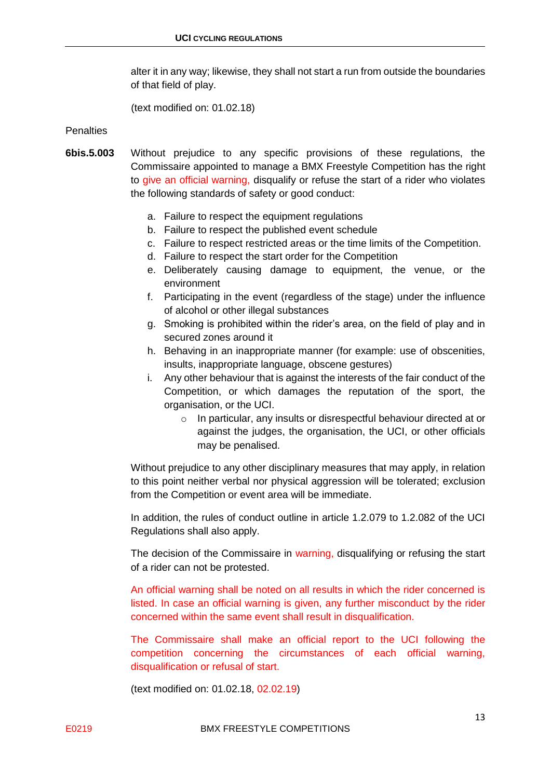alter it in any way; likewise, they shall not start a run from outside the boundaries of that field of play.

(text modified on: 01.02.18)

#### **Penalties**

- **6bis.5.003** Without prejudice to any specific provisions of these regulations, the Commissaire appointed to manage a BMX Freestyle Competition has the right to give an official warning, disqualify or refuse the start of a rider who violates the following standards of safety or good conduct:
	- a. Failure to respect the equipment regulations
	- b. Failure to respect the published event schedule
	- c. Failure to respect restricted areas or the time limits of the Competition.
	- d. Failure to respect the start order for the Competition
	- e. Deliberately causing damage to equipment, the venue, or the environment
	- f. Participating in the event (regardless of the stage) under the influence of alcohol or other illegal substances
	- g. Smoking is prohibited within the rider's area, on the field of play and in secured zones around it
	- h. Behaving in an inappropriate manner (for example: use of obscenities, insults, inappropriate language, obscene gestures)
	- i. Any other behaviour that is against the interests of the fair conduct of the Competition, or which damages the reputation of the sport, the organisation, or the UCI.
		- o In particular, any insults or disrespectful behaviour directed at or against the judges, the organisation, the UCI, or other officials may be penalised.

Without prejudice to any other disciplinary measures that may apply, in relation to this point neither verbal nor physical aggression will be tolerated; exclusion from the Competition or event area will be immediate.

In addition, the rules of conduct outline in article 1.2.079 to 1.2.082 of the UCI Regulations shall also apply.

The decision of the Commissaire in warning, disqualifying or refusing the start of a rider can not be protested.

An official warning shall be noted on all results in which the rider concerned is listed. In case an official warning is given, any further misconduct by the rider concerned within the same event shall result in disqualification.

The Commissaire shall make an official report to the UCI following the competition concerning the circumstances of each official warning, disqualification or refusal of start.

(text modified on: 01.02.18, 02.02.19)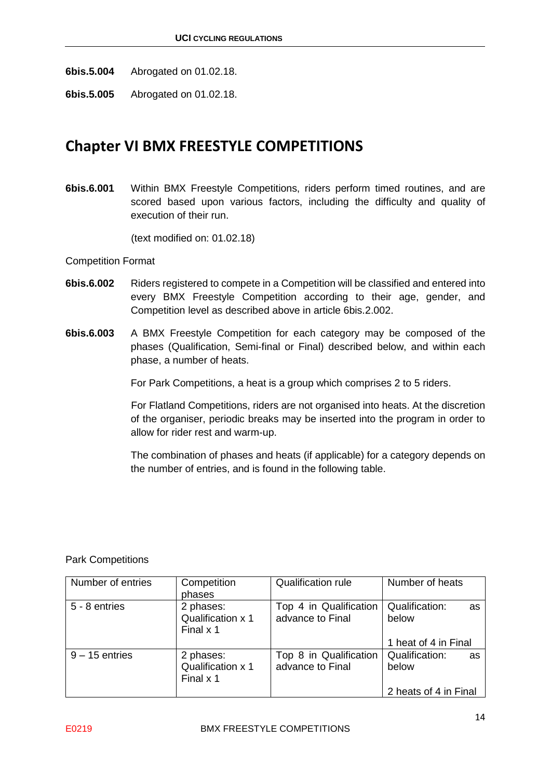**6bis.5.004** Abrogated on 01.02.18.

**6bis.5.005** Abrogated on 01.02.18.

### <span id="page-13-0"></span>**Chapter VI BMX FREESTYLE COMPETITIONS**

**6bis.6.001** Within BMX Freestyle Competitions, riders perform timed routines, and are scored based upon various factors, including the difficulty and quality of execution of their run.

(text modified on: 01.02.18)

#### Competition Format

- **6bis.6.002** Riders registered to compete in a Competition will be classified and entered into every BMX Freestyle Competition according to their age, gender, and Competition level as described above in article 6bis.2.002.
- **6bis.6.003** A BMX Freestyle Competition for each category may be composed of the phases (Qualification, Semi-final or Final) described below, and within each phase, a number of heats.

For Park Competitions, a heat is a group which comprises 2 to 5 riders.

For Flatland Competitions, riders are not organised into heats. At the discretion of the organiser, periodic breaks may be inserted into the program in order to allow for rider rest and warm-up.

The combination of phases and heats (if applicable) for a category depends on the number of entries, and is found in the following table.

#### Park Competitions

| Number of entries | Competition<br>phases                       | <b>Qualification rule</b>                  | Number of heats               |
|-------------------|---------------------------------------------|--------------------------------------------|-------------------------------|
| 5 - 8 entries     | 2 phases:<br>Qualification x 1<br>Final x 1 | Top 4 in Qualification<br>advance to Final | Qualification:<br>as<br>below |
|                   |                                             |                                            | 1 heat of 4 in Final          |
| $9 - 15$ entries  | 2 phases:<br>Qualification x 1<br>Final x 1 | Top 8 in Qualification<br>advance to Final | Qualification:<br>as<br>below |
|                   |                                             |                                            | 2 heats of 4 in Final         |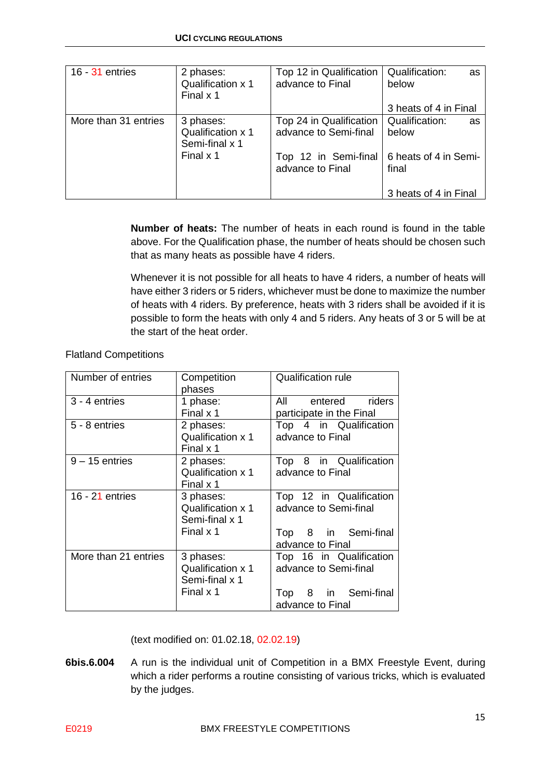| $16 - 31$ entries    | 2 phases:<br>Qualification x 1<br>Final x 1             | Top 12 in Qualification<br>advance to Final      | Qualification:<br>as<br>below<br>3 heats of 4 in Final |
|----------------------|---------------------------------------------------------|--------------------------------------------------|--------------------------------------------------------|
| More than 31 entries | 3 phases:<br><b>Qualification x 1</b><br>Semi-final x 1 | Top 24 in Qualification<br>advance to Semi-final | Qualification:<br>as<br>below                          |
|                      | Final x 1                                               | Top 12 in Semi-final<br>advance to Final         | 6 heats of 4 in Semi-<br>final                         |
|                      |                                                         |                                                  | 3 heats of 4 in Final                                  |

**Number of heats:** The number of heats in each round is found in the table above. For the Qualification phase, the number of heats should be chosen such that as many heats as possible have 4 riders.

Whenever it is not possible for all heats to have 4 riders, a number of heats will have either 3 riders or 5 riders, whichever must be done to maximize the number of heats with 4 riders. By preference, heats with 3 riders shall be avoided if it is possible to form the heats with only 4 and 5 riders. Any heats of 3 or 5 will be at the start of the heat order.

| Number of entries    | Competition<br>phases                            | <b>Qualification rule</b>                        |
|----------------------|--------------------------------------------------|--------------------------------------------------|
| 3 - 4 entries        | 1 phase:<br>Final x 1                            | All entered riders<br>participate in the Final   |
| 5 - 8 entries        | 2 phases:<br>Qualification x 1<br>Final x 1      | Top 4 in Qualification<br>advance to Final       |
| $9 - 15$ entries     | 2 phases:<br>Qualification x 1<br>Final x 1      | Top 8 in Qualification<br>advance to Final       |
| 16 - $21$ entries    | 3 phases:<br>Qualification x 1<br>Semi-final x 1 | Top 12 in Qualification<br>advance to Semi-final |
|                      | Final x 1                                        | Top 8 in Semi-final<br>advance to Final          |
| More than 21 entries | 3 phases:<br>Qualification x 1<br>Semi-final x 1 | Top 16 in Qualification<br>advance to Semi-final |
|                      | Final x 1                                        | Top 8 in Semi-final<br>advance to Final          |

Flatland Competitions

(text modified on: 01.02.18, 02.02.19)

**6bis.6.004** A run is the individual unit of Competition in a BMX Freestyle Event, during which a rider performs a routine consisting of various tricks, which is evaluated by the judges.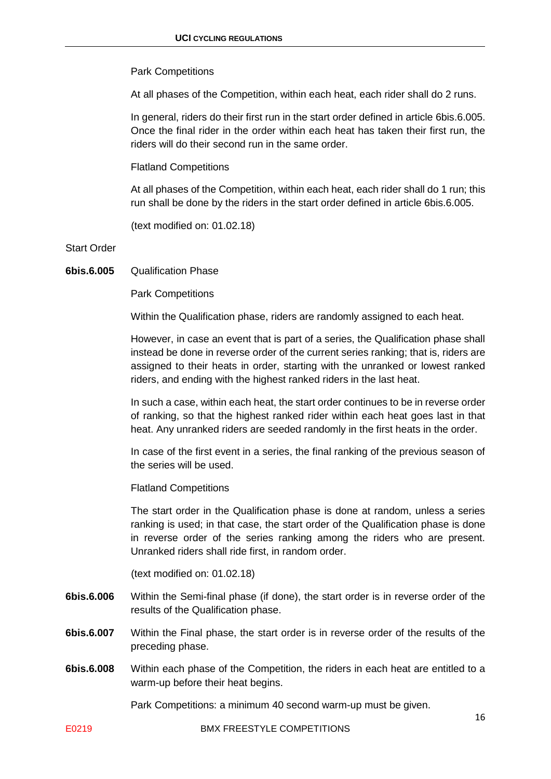#### Park Competitions

At all phases of the Competition, within each heat, each rider shall do 2 runs.

In general, riders do their first run in the start order defined in article 6bis.6.005. Once the final rider in the order within each heat has taken their first run, the riders will do their second run in the same order.

Flatland Competitions

At all phases of the Competition, within each heat, each rider shall do 1 run; this run shall be done by the riders in the start order defined in article 6bis.6.005.

(text modified on: 01.02.18)

Start Order

**6bis.6.005** Qualification Phase

Park Competitions

Within the Qualification phase, riders are randomly assigned to each heat.

However, in case an event that is part of a series, the Qualification phase shall instead be done in reverse order of the current series ranking; that is, riders are assigned to their heats in order, starting with the unranked or lowest ranked riders, and ending with the highest ranked riders in the last heat.

In such a case, within each heat, the start order continues to be in reverse order of ranking, so that the highest ranked rider within each heat goes last in that heat. Any unranked riders are seeded randomly in the first heats in the order.

In case of the first event in a series, the final ranking of the previous season of the series will be used.

Flatland Competitions

The start order in the Qualification phase is done at random, unless a series ranking is used; in that case, the start order of the Qualification phase is done in reverse order of the series ranking among the riders who are present. Unranked riders shall ride first, in random order.

(text modified on: 01.02.18)

- **6bis.6.006** Within the Semi-final phase (if done), the start order is in reverse order of the results of the Qualification phase.
- **6bis.6.007** Within the Final phase, the start order is in reverse order of the results of the preceding phase.
- **6bis.6.008** Within each phase of the Competition, the riders in each heat are entitled to a warm-up before their heat begins.

Park Competitions: a minimum 40 second warm-up must be given.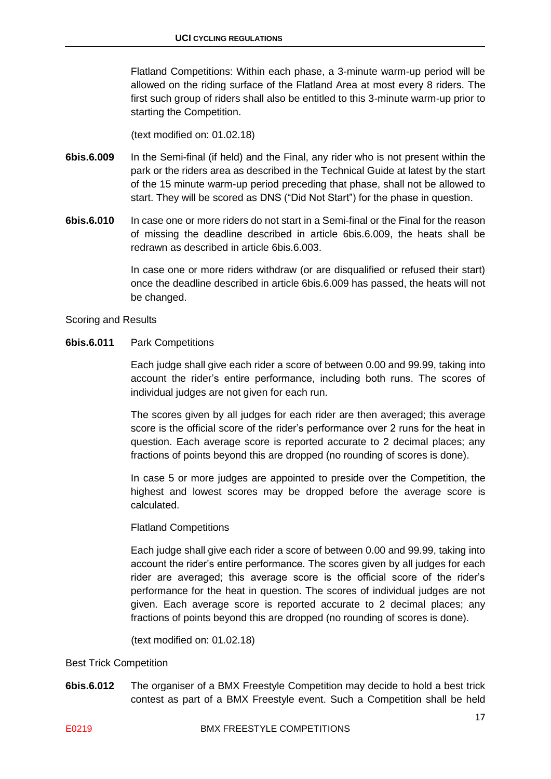Flatland Competitions: Within each phase, a 3-minute warm-up period will be allowed on the riding surface of the Flatland Area at most every 8 riders. The first such group of riders shall also be entitled to this 3-minute warm-up prior to starting the Competition.

(text modified on: 01.02.18)

- **6bis.6.009** In the Semi-final (if held) and the Final, any rider who is not present within the park or the riders area as described in the Technical Guide at latest by the start of the 15 minute warm-up period preceding that phase, shall not be allowed to start. They will be scored as DNS ("Did Not Start") for the phase in question.
- **6bis.6.010** In case one or more riders do not start in a Semi-final or the Final for the reason of missing the deadline described in article 6bis.6.009, the heats shall be redrawn as described in article 6bis.6.003.

In case one or more riders withdraw (or are disqualified or refused their start) once the deadline described in article 6bis.6.009 has passed, the heats will not be changed.

#### Scoring and Results

#### **6bis.6.011** Park Competitions

Each judge shall give each rider a score of between 0.00 and 99.99, taking into account the rider's entire performance, including both runs. The scores of individual judges are not given for each run.

The scores given by all judges for each rider are then averaged; this average score is the official score of the rider's performance over 2 runs for the heat in question. Each average score is reported accurate to 2 decimal places; any fractions of points beyond this are dropped (no rounding of scores is done).

In case 5 or more judges are appointed to preside over the Competition, the highest and lowest scores may be dropped before the average score is calculated.

#### Flatland Competitions

Each judge shall give each rider a score of between 0.00 and 99.99, taking into account the rider's entire performance. The scores given by all judges for each rider are averaged; this average score is the official score of the rider's performance for the heat in question. The scores of individual judges are not given. Each average score is reported accurate to 2 decimal places; any fractions of points beyond this are dropped (no rounding of scores is done).

(text modified on: 01.02.18)

#### Best Trick Competition

**6bis.6.012** The organiser of a BMX Freestyle Competition may decide to hold a best trick contest as part of a BMX Freestyle event. Such a Competition shall be held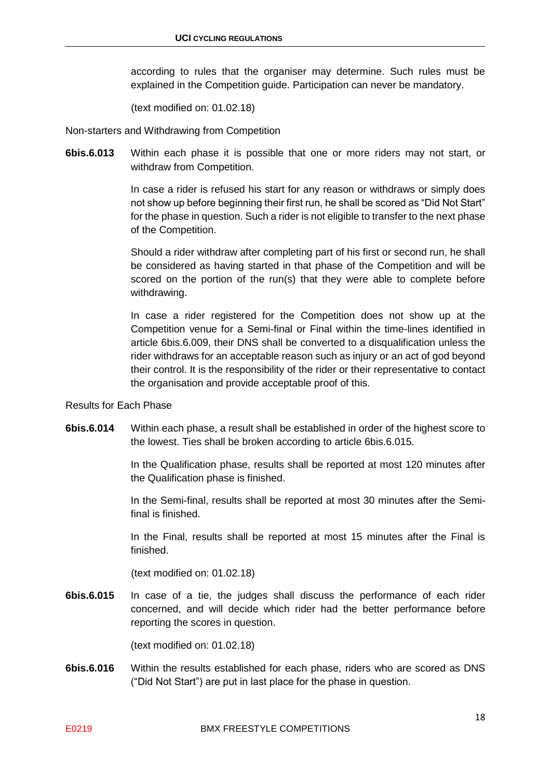according to rules that the organiser may determine. Such rules must be explained in the Competition guide. Participation can never be mandatory.

(text modified on: 01.02.18)

Non-starters and Withdrawing from Competition

**6bis.6.013** Within each phase it is possible that one or more riders may not start, or withdraw from Competition.

> In case a rider is refused his start for any reason or withdraws or simply does not show up before beginning their first run, he shall be scored as "Did Not Start" for the phase in question. Such a rider is not eligible to transfer to the next phase of the Competition.

> Should a rider withdraw after completing part of his first or second run, he shall be considered as having started in that phase of the Competition and will be scored on the portion of the run(s) that they were able to complete before withdrawing.

> In case a rider registered for the Competition does not show up at the Competition venue for a Semi-final or Final within the time-lines identified in article 6bis.6.009, their DNS shall be converted to a disqualification unless the rider withdraws for an acceptable reason such as injury or an act of god beyond their control. It is the responsibility of the rider or their representative to contact the organisation and provide acceptable proof of this.

Results for Each Phase

**6bis.6.014** Within each phase, a result shall be established in order of the highest score to the lowest. Ties shall be broken according to article 6bis.6.015.

> In the Qualification phase, results shall be reported at most 120 minutes after the Qualification phase is finished.

> In the Semi-final, results shall be reported at most 30 minutes after the Semifinal is finished.

> In the Final, results shall be reported at most 15 minutes after the Final is finished.

(text modified on: 01.02.18)

**6bis.6.015** In case of a tie, the judges shall discuss the performance of each rider concerned, and will decide which rider had the better performance before reporting the scores in question.

(text modified on: 01.02.18)

**6bis.6.016** Within the results established for each phase, riders who are scored as DNS ("Did Not Start") are put in last place for the phase in question.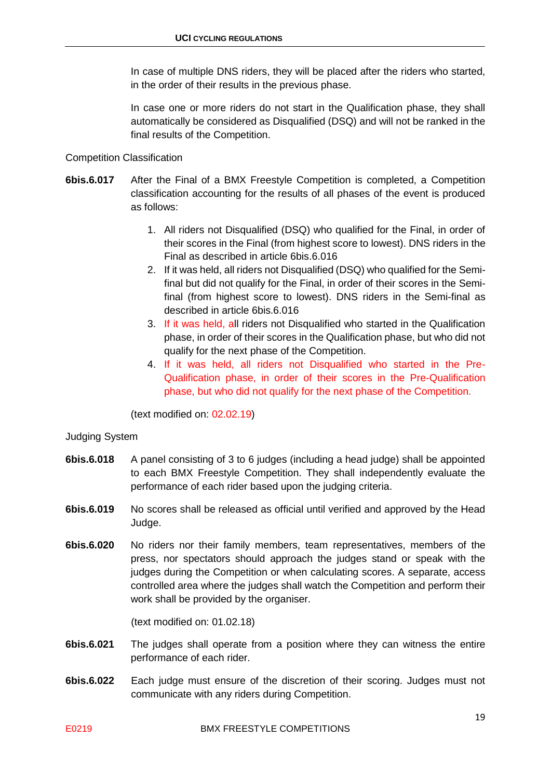In case of multiple DNS riders, they will be placed after the riders who started, in the order of their results in the previous phase.

In case one or more riders do not start in the Qualification phase, they shall automatically be considered as Disqualified (DSQ) and will not be ranked in the final results of the Competition.

#### Competition Classification

- **6bis.6.017** After the Final of a BMX Freestyle Competition is completed, a Competition classification accounting for the results of all phases of the event is produced as follows:
	- 1. All riders not Disqualified (DSQ) who qualified for the Final, in order of their scores in the Final (from highest score to lowest). DNS riders in the Final as described in article 6bis.6.016
	- 2. If it was held, all riders not Disqualified (DSQ) who qualified for the Semifinal but did not qualify for the Final, in order of their scores in the Semifinal (from highest score to lowest). DNS riders in the Semi-final as described in article 6bis.6.016
	- 3. If it was held, all riders not Disqualified who started in the Qualification phase, in order of their scores in the Qualification phase, but who did not qualify for the next phase of the Competition.
	- 4. If it was held, all riders not Disqualified who started in the Pre-Qualification phase, in order of their scores in the Pre-Qualification phase, but who did not qualify for the next phase of the Competition.

(text modified on: 02.02.19)

#### Judging System

- **6bis.6.018** A panel consisting of 3 to 6 judges (including a head judge) shall be appointed to each BMX Freestyle Competition. They shall independently evaluate the performance of each rider based upon the judging criteria.
- **6bis.6.019** No scores shall be released as official until verified and approved by the Head Judge.
- **6bis.6.020** No riders nor their family members, team representatives, members of the press, nor spectators should approach the judges stand or speak with the judges during the Competition or when calculating scores. A separate, access controlled area where the judges shall watch the Competition and perform their work shall be provided by the organiser.

- **6bis.6.021** The judges shall operate from a position where they can witness the entire performance of each rider.
- **6bis.6.022** Each judge must ensure of the discretion of their scoring. Judges must not communicate with any riders during Competition.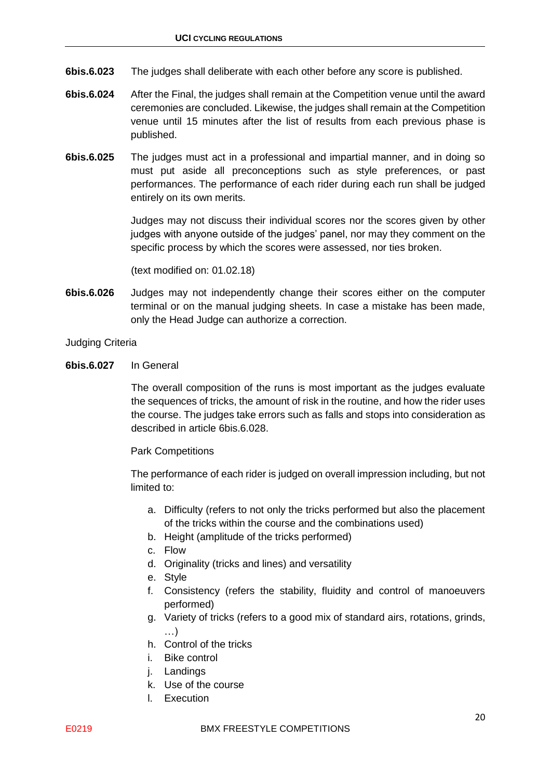- **6bis.6.023** The judges shall deliberate with each other before any score is published.
- **6bis.6.024** After the Final, the judges shall remain at the Competition venue until the award ceremonies are concluded. Likewise, the judges shall remain at the Competition venue until 15 minutes after the list of results from each previous phase is published.
- **6bis.6.025** The judges must act in a professional and impartial manner, and in doing so must put aside all preconceptions such as style preferences, or past performances. The performance of each rider during each run shall be judged entirely on its own merits.

Judges may not discuss their individual scores nor the scores given by other judges with anyone outside of the judges' panel, nor may they comment on the specific process by which the scores were assessed, nor ties broken.

(text modified on: 01.02.18)

**6bis.6.026** Judges may not independently change their scores either on the computer terminal or on the manual judging sheets. In case a mistake has been made, only the Head Judge can authorize a correction.

Judging Criteria

**6bis.6.027** In General

The overall composition of the runs is most important as the judges evaluate the sequences of tricks, the amount of risk in the routine, and how the rider uses the course. The judges take errors such as falls and stops into consideration as described in article 6bis.6.028.

Park Competitions

The performance of each rider is judged on overall impression including, but not limited to:

- a. Difficulty (refers to not only the tricks performed but also the placement of the tricks within the course and the combinations used)
- b. Height (amplitude of the tricks performed)
- c. Flow
- d. Originality (tricks and lines) and versatility
- e. Style
- f. Consistency (refers the stability, fluidity and control of manoeuvers performed)
- g. Variety of tricks (refers to a good mix of standard airs, rotations, grinds, …)
- h. Control of the tricks
- i. Bike control
- j. Landings
- k. Use of the course
- l. Execution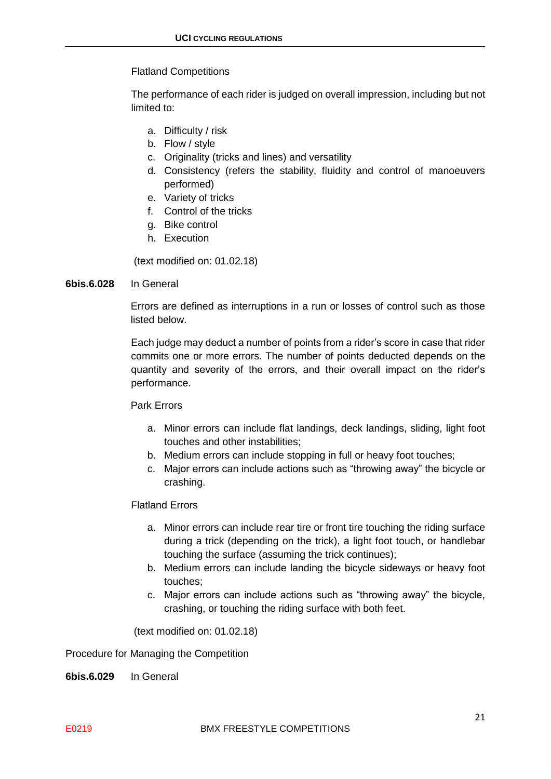#### Flatland Competitions

The performance of each rider is judged on overall impression, including but not limited to:

- a. Difficulty / risk
- b. Flow / style
- c. Originality (tricks and lines) and versatility
- d. Consistency (refers the stability, fluidity and control of manoeuvers performed)
- e. Variety of tricks
- f. Control of the tricks
- g. Bike control
- h. Execution

(text modified on: 01.02.18)

#### **6bis.6.028** In General

Errors are defined as interruptions in a run or losses of control such as those listed below.

Each judge may deduct a number of points from a rider's score in case that rider commits one or more errors. The number of points deducted depends on the quantity and severity of the errors, and their overall impact on the rider's performance.

#### Park Errors

- a. Minor errors can include flat landings, deck landings, sliding, light foot touches and other instabilities;
- b. Medium errors can include stopping in full or heavy foot touches;
- c. Major errors can include actions such as "throwing away" the bicycle or crashing.

#### Flatland Errors

- a. Minor errors can include rear tire or front tire touching the riding surface during a trick (depending on the trick), a light foot touch, or handlebar touching the surface (assuming the trick continues);
- b. Medium errors can include landing the bicycle sideways or heavy foot touches;
- c. Major errors can include actions such as "throwing away" the bicycle, crashing, or touching the riding surface with both feet.

(text modified on: 01.02.18)

Procedure for Managing the Competition

**6bis.6.029** In General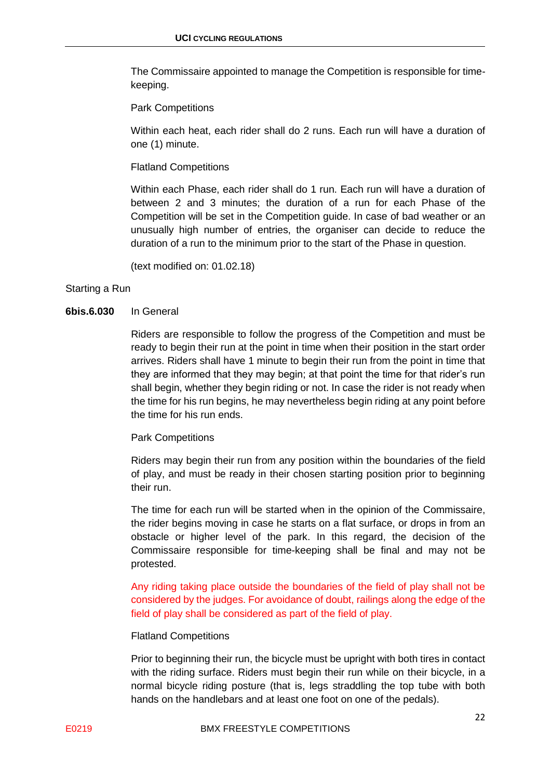The Commissaire appointed to manage the Competition is responsible for timekeeping.

#### Park Competitions

Within each heat, each rider shall do 2 runs. Each run will have a duration of one (1) minute.

#### Flatland Competitions

Within each Phase, each rider shall do 1 run. Each run will have a duration of between 2 and 3 minutes; the duration of a run for each Phase of the Competition will be set in the Competition guide. In case of bad weather or an unusually high number of entries, the organiser can decide to reduce the duration of a run to the minimum prior to the start of the Phase in question.

(text modified on: 01.02.18)

#### Starting a Run

#### **6bis.6.030** In General

Riders are responsible to follow the progress of the Competition and must be ready to begin their run at the point in time when their position in the start order arrives. Riders shall have 1 minute to begin their run from the point in time that they are informed that they may begin; at that point the time for that rider's run shall begin, whether they begin riding or not. In case the rider is not ready when the time for his run begins, he may nevertheless begin riding at any point before the time for his run ends.

#### Park Competitions

Riders may begin their run from any position within the boundaries of the field of play, and must be ready in their chosen starting position prior to beginning their run.

The time for each run will be started when in the opinion of the Commissaire, the rider begins moving in case he starts on a flat surface, or drops in from an obstacle or higher level of the park. In this regard, the decision of the Commissaire responsible for time-keeping shall be final and may not be protested.

Any riding taking place outside the boundaries of the field of play shall not be considered by the judges. For avoidance of doubt, railings along the edge of the field of play shall be considered as part of the field of play.

#### Flatland Competitions

Prior to beginning their run, the bicycle must be upright with both tires in contact with the riding surface. Riders must begin their run while on their bicycle, in a normal bicycle riding posture (that is, legs straddling the top tube with both hands on the handlebars and at least one foot on one of the pedals).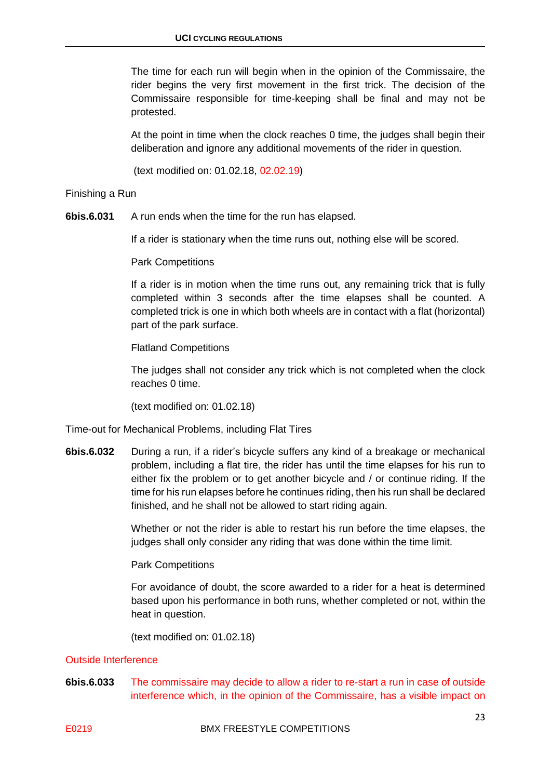The time for each run will begin when in the opinion of the Commissaire, the rider begins the very first movement in the first trick. The decision of the Commissaire responsible for time-keeping shall be final and may not be protested.

At the point in time when the clock reaches 0 time, the judges shall begin their deliberation and ignore any additional movements of the rider in question.

(text modified on: 01.02.18, 02.02.19)

Finishing a Run

**6bis.6.031** A run ends when the time for the run has elapsed.

If a rider is stationary when the time runs out, nothing else will be scored.

Park Competitions

If a rider is in motion when the time runs out, any remaining trick that is fully completed within 3 seconds after the time elapses shall be counted. A completed trick is one in which both wheels are in contact with a flat (horizontal) part of the park surface.

Flatland Competitions

The judges shall not consider any trick which is not completed when the clock reaches 0 time.

(text modified on: 01.02.18)

Time-out for Mechanical Problems, including Flat Tires

**6bis.6.032** During a run, if a rider's bicycle suffers any kind of a breakage or mechanical problem, including a flat tire, the rider has until the time elapses for his run to either fix the problem or to get another bicycle and / or continue riding. If the time for his run elapses before he continues riding, then his run shall be declared finished, and he shall not be allowed to start riding again.

> Whether or not the rider is able to restart his run before the time elapses, the judges shall only consider any riding that was done within the time limit.

Park Competitions

For avoidance of doubt, the score awarded to a rider for a heat is determined based upon his performance in both runs, whether completed or not, within the heat in question.

(text modified on: 01.02.18)

#### Outside Interference

**6bis.6.033** The commissaire may decide to allow a rider to re-start a run in case of outside interference which, in the opinion of the Commissaire, has a visible impact on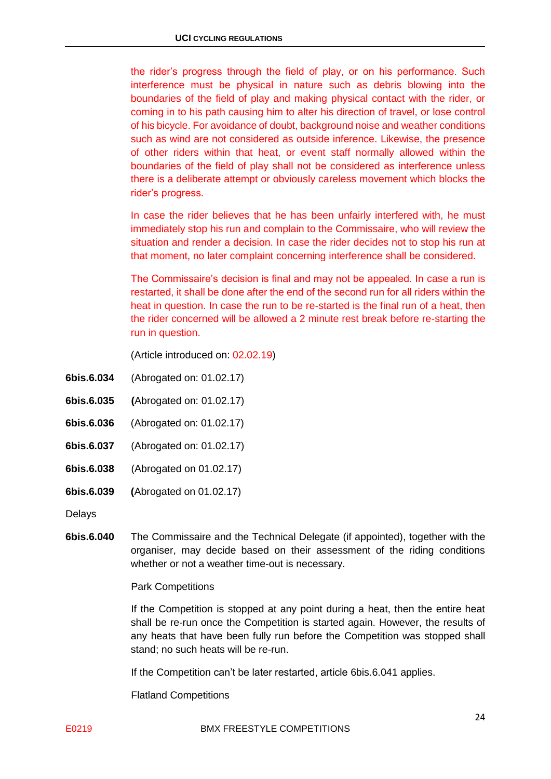the rider's progress through the field of play, or on his performance. Such interference must be physical in nature such as debris blowing into the boundaries of the field of play and making physical contact with the rider, or coming in to his path causing him to alter his direction of travel, or lose control of his bicycle. For avoidance of doubt, background noise and weather conditions such as wind are not considered as outside inference. Likewise, the presence of other riders within that heat, or event staff normally allowed within the boundaries of the field of play shall not be considered as interference unless there is a deliberate attempt or obviously careless movement which blocks the rider's progress.

In case the rider believes that he has been unfairly interfered with, he must immediately stop his run and complain to the Commissaire, who will review the situation and render a decision. In case the rider decides not to stop his run at that moment, no later complaint concerning interference shall be considered.

The Commissaire's decision is final and may not be appealed. In case a run is restarted, it shall be done after the end of the second run for all riders within the heat in question. In case the run to be re-started is the final run of a heat, then the rider concerned will be allowed a 2 minute rest break before re-starting the run in question.

(Article introduced on: 02.02.19)

- **6bis.6.034** (Abrogated on: 01.02.17)
- **6bis.6.035 (**Abrogated on: 01.02.17)
- **6bis.6.036** (Abrogated on: 01.02.17)
- **6bis.6.037** (Abrogated on: 01.02.17)
- **6bis.6.038** (Abrogated on 01.02.17)
- **6bis.6.039 (**Abrogated on 01.02.17)

Delays

**6bis.6.040** The Commissaire and the Technical Delegate (if appointed), together with the organiser, may decide based on their assessment of the riding conditions whether or not a weather time-out is necessary.

Park Competitions

If the Competition is stopped at any point during a heat, then the entire heat shall be re-run once the Competition is started again. However, the results of any heats that have been fully run before the Competition was stopped shall stand; no such heats will be re-run.

If the Competition can't be later restarted, article 6bis.6.041 applies.

Flatland Competitions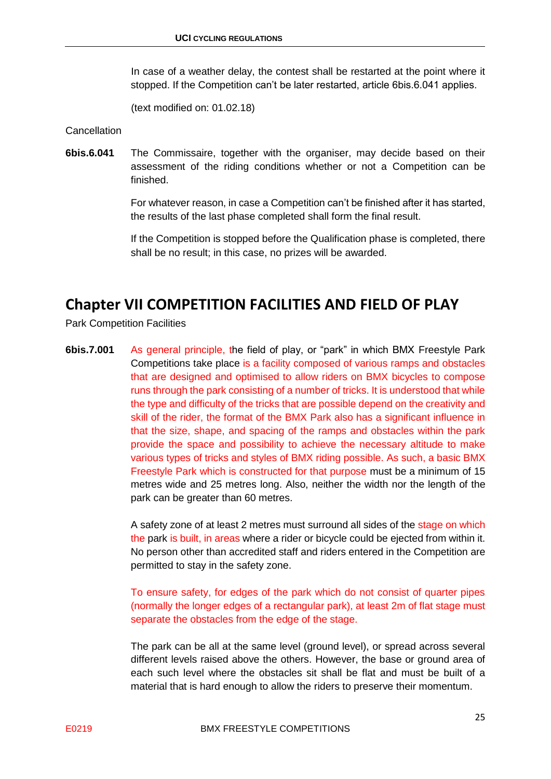In case of a weather delay, the contest shall be restarted at the point where it stopped. If the Competition can't be later restarted, article 6bis.6.041 applies.

(text modified on: 01.02.18)

Cancellation

**6bis.6.041** The Commissaire, together with the organiser, may decide based on their assessment of the riding conditions whether or not a Competition can be finished.

> For whatever reason, in case a Competition can't be finished after it has started, the results of the last phase completed shall form the final result.

> If the Competition is stopped before the Qualification phase is completed, there shall be no result; in this case, no prizes will be awarded.

### <span id="page-24-0"></span>**Chapter VII COMPETITION FACILITIES AND FIELD OF PLAY**

Park Competition Facilities

**6bis.7.001** As general principle, the field of play, or "park" in which BMX Freestyle Park Competitions take place is a facility composed of various ramps and obstacles that are designed and optimised to allow riders on BMX bicycles to compose runs through the park consisting of a number of tricks. It is understood that while the type and difficulty of the tricks that are possible depend on the creativity and skill of the rider, the format of the BMX Park also has a significant influence in that the size, shape, and spacing of the ramps and obstacles within the park provide the space and possibility to achieve the necessary altitude to make various types of tricks and styles of BMX riding possible. As such, a basic BMX Freestyle Park which is constructed for that purpose must be a minimum of 15 metres wide and 25 metres long. Also, neither the width nor the length of the park can be greater than 60 metres.

> A safety zone of at least 2 metres must surround all sides of the stage on which the park is built, in areas where a rider or bicycle could be ejected from within it. No person other than accredited staff and riders entered in the Competition are permitted to stay in the safety zone.

> To ensure safety, for edges of the park which do not consist of quarter pipes (normally the longer edges of a rectangular park), at least 2m of flat stage must separate the obstacles from the edge of the stage.

> The park can be all at the same level (ground level), or spread across several different levels raised above the others. However, the base or ground area of each such level where the obstacles sit shall be flat and must be built of a material that is hard enough to allow the riders to preserve their momentum.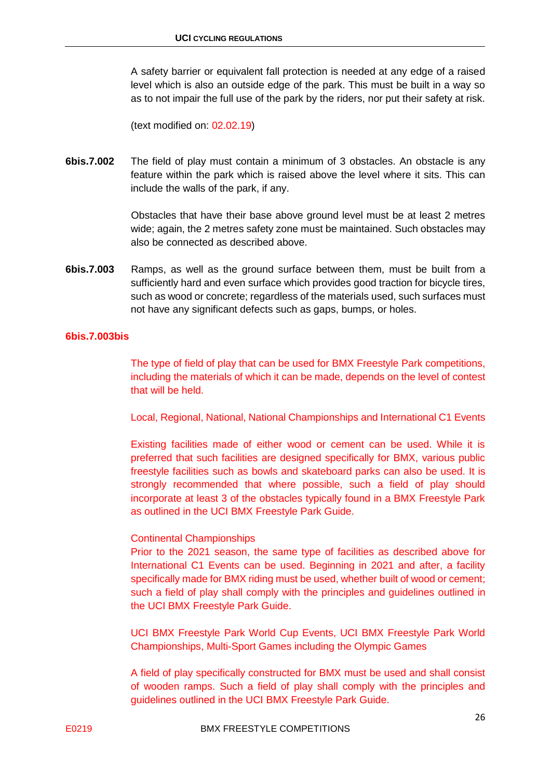A safety barrier or equivalent fall protection is needed at any edge of a raised level which is also an outside edge of the park. This must be built in a way so as to not impair the full use of the park by the riders, nor put their safety at risk.

(text modified on: 02.02.19)

**6bis.7.002** The field of play must contain a minimum of 3 obstacles. An obstacle is any feature within the park which is raised above the level where it sits. This can include the walls of the park, if any.

> Obstacles that have their base above ground level must be at least 2 metres wide; again, the 2 metres safety zone must be maintained. Such obstacles may also be connected as described above.

**6bis.7.003** Ramps, as well as the ground surface between them, must be built from a sufficiently hard and even surface which provides good traction for bicycle tires, such as wood or concrete; regardless of the materials used, such surfaces must not have any significant defects such as gaps, bumps, or holes.

#### **6bis.7.003bis**

The type of field of play that can be used for BMX Freestyle Park competitions, including the materials of which it can be made, depends on the level of contest that will be held.

Local, Regional, National, National Championships and International C1 Events

Existing facilities made of either wood or cement can be used. While it is preferred that such facilities are designed specifically for BMX, various public freestyle facilities such as bowls and skateboard parks can also be used. It is strongly recommended that where possible, such a field of play should incorporate at least 3 of the obstacles typically found in a BMX Freestyle Park as outlined in the UCI BMX Freestyle Park Guide.

#### Continental Championships

Prior to the 2021 season, the same type of facilities as described above for International C1 Events can be used. Beginning in 2021 and after, a facility specifically made for BMX riding must be used, whether built of wood or cement; such a field of play shall comply with the principles and guidelines outlined in the UCI BMX Freestyle Park Guide.

UCI BMX Freestyle Park World Cup Events, UCI BMX Freestyle Park World Championships, Multi-Sport Games including the Olympic Games

A field of play specifically constructed for BMX must be used and shall consist of wooden ramps. Such a field of play shall comply with the principles and guidelines outlined in the UCI BMX Freestyle Park Guide.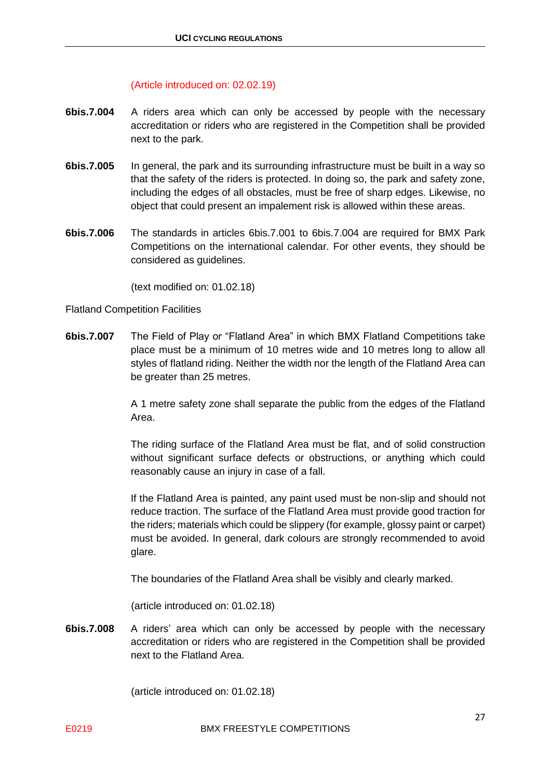#### (Article introduced on: 02.02.19)

- **6bis.7.004** A riders area which can only be accessed by people with the necessary accreditation or riders who are registered in the Competition shall be provided next to the park.
- **6bis.7.005** In general, the park and its surrounding infrastructure must be built in a way so that the safety of the riders is protected. In doing so, the park and safety zone, including the edges of all obstacles, must be free of sharp edges. Likewise, no object that could present an impalement risk is allowed within these areas.
- **6bis.7.006** The standards in articles 6bis.7.001 to 6bis.7.004 are required for BMX Park Competitions on the international calendar. For other events, they should be considered as guidelines.

(text modified on: 01.02.18)

#### Flatland Competition Facilities

**6bis.7.007** The Field of Play or "Flatland Area" in which BMX Flatland Competitions take place must be a minimum of 10 metres wide and 10 metres long to allow all styles of flatland riding. Neither the width nor the length of the Flatland Area can be greater than 25 metres.

> A 1 metre safety zone shall separate the public from the edges of the Flatland Area.

> The riding surface of the Flatland Area must be flat, and of solid construction without significant surface defects or obstructions, or anything which could reasonably cause an injury in case of a fall.

> If the Flatland Area is painted, any paint used must be non-slip and should not reduce traction. The surface of the Flatland Area must provide good traction for the riders; materials which could be slippery (for example, glossy paint or carpet) must be avoided. In general, dark colours are strongly recommended to avoid glare.

The boundaries of the Flatland Area shall be visibly and clearly marked.

(article introduced on: 01.02.18)

**6bis.7.008** A riders' area which can only be accessed by people with the necessary accreditation or riders who are registered in the Competition shall be provided next to the Flatland Area.

(article introduced on: 01.02.18)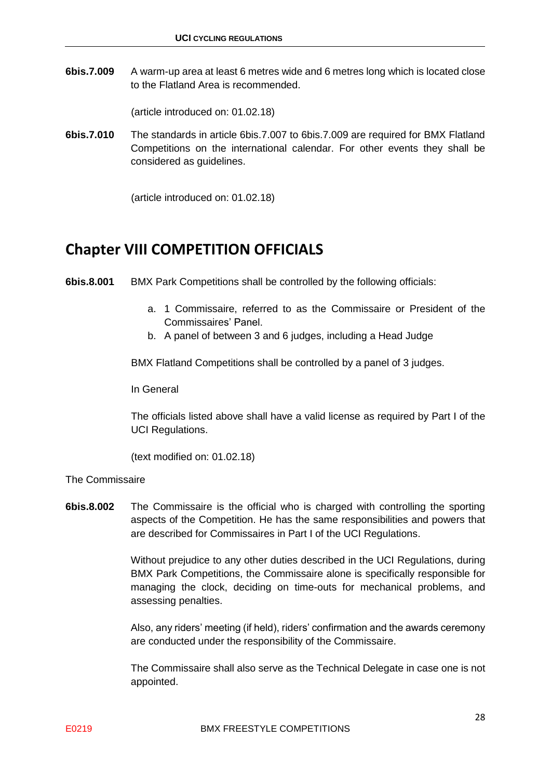**6bis.7.009** A warm-up area at least 6 metres wide and 6 metres long which is located close to the Flatland Area is recommended.

(article introduced on: 01.02.18)

**6bis.7.010** The standards in article 6bis.7.007 to 6bis.7.009 are required for BMX Flatland Competitions on the international calendar. For other events they shall be considered as guidelines.

(article introduced on: 01.02.18)

### <span id="page-27-0"></span>**Chapter VIII COMPETITION OFFICIALS**

**6bis.8.001** BMX Park Competitions shall be controlled by the following officials:

- a. 1 Commissaire, referred to as the Commissaire or President of the Commissaires' Panel.
- b. A panel of between 3 and 6 judges, including a Head Judge

BMX Flatland Competitions shall be controlled by a panel of 3 judges.

In General

The officials listed above shall have a valid license as required by Part I of the UCI Regulations.

(text modified on: 01.02.18)

#### The Commissaire

**6bis.8.002** The Commissaire is the official who is charged with controlling the sporting aspects of the Competition. He has the same responsibilities and powers that are described for Commissaires in Part I of the UCI Regulations.

> Without prejudice to any other duties described in the UCI Regulations, during BMX Park Competitions, the Commissaire alone is specifically responsible for managing the clock, deciding on time-outs for mechanical problems, and assessing penalties.

> Also, any riders' meeting (if held), riders' confirmation and the awards ceremony are conducted under the responsibility of the Commissaire.

> The Commissaire shall also serve as the Technical Delegate in case one is not appointed.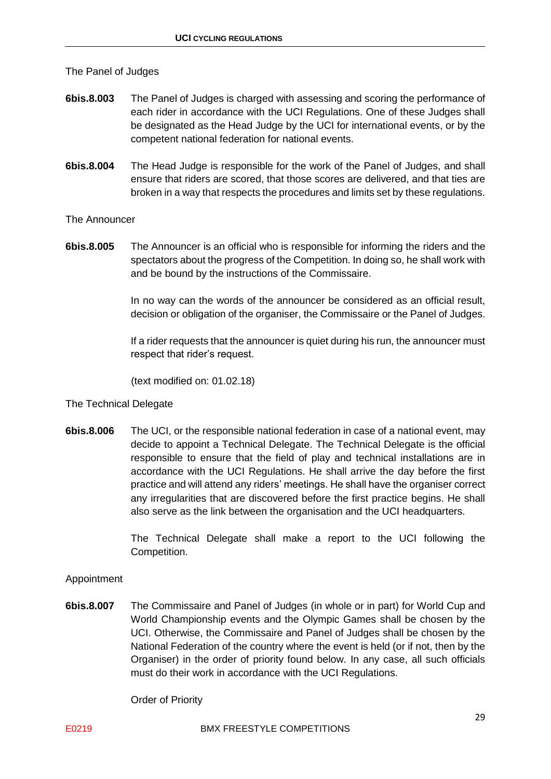The Panel of Judges

- **6bis.8.003** The Panel of Judges is charged with assessing and scoring the performance of each rider in accordance with the UCI Regulations. One of these Judges shall be designated as the Head Judge by the UCI for international events, or by the competent national federation for national events.
- **6bis.8.004** The Head Judge is responsible for the work of the Panel of Judges, and shall ensure that riders are scored, that those scores are delivered, and that ties are broken in a way that respects the procedures and limits set by these regulations.

The Announcer

**6bis.8.005** The Announcer is an official who is responsible for informing the riders and the spectators about the progress of the Competition. In doing so, he shall work with and be bound by the instructions of the Commissaire.

> In no way can the words of the announcer be considered as an official result, decision or obligation of the organiser, the Commissaire or the Panel of Judges.

> If a rider requests that the announcer is quiet during his run, the announcer must respect that rider's request.

(text modified on: 01.02.18)

#### The Technical Delegate

**6bis.8.006** The UCI, or the responsible national federation in case of a national event, may decide to appoint a Technical Delegate. The Technical Delegate is the official responsible to ensure that the field of play and technical installations are in accordance with the UCI Regulations. He shall arrive the day before the first practice and will attend any riders' meetings. He shall have the organiser correct any irregularities that are discovered before the first practice begins. He shall also serve as the link between the organisation and the UCI headquarters.

> The Technical Delegate shall make a report to the UCI following the Competition.

#### Appointment

**6bis.8.007** The Commissaire and Panel of Judges (in whole or in part) for World Cup and World Championship events and the Olympic Games shall be chosen by the UCI. Otherwise, the Commissaire and Panel of Judges shall be chosen by the National Federation of the country where the event is held (or if not, then by the Organiser) in the order of priority found below. In any case, all such officials must do their work in accordance with the UCI Regulations.

Order of Priority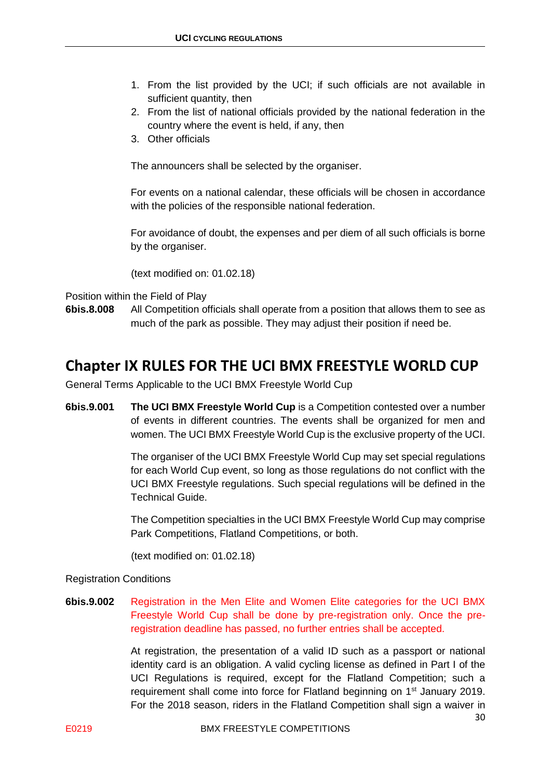- 1. From the list provided by the UCI; if such officials are not available in sufficient quantity, then
- 2. From the list of national officials provided by the national federation in the country where the event is held, if any, then
- 3. Other officials

The announcers shall be selected by the organiser.

For events on a national calendar, these officials will be chosen in accordance with the policies of the responsible national federation.

For avoidance of doubt, the expenses and per diem of all such officials is borne by the organiser.

(text modified on: 01.02.18)

Position within the Field of Play

**6bis.8.008** All Competition officials shall operate from a position that allows them to see as much of the park as possible. They may adjust their position if need be.

### <span id="page-29-0"></span>**Chapter IX RULES FOR THE UCI BMX FREESTYLE WORLD CUP**

General Terms Applicable to the UCI BMX Freestyle World Cup

**6bis.9.001 The UCI BMX Freestyle World Cup** is a Competition contested over a number of events in different countries. The events shall be organized for men and women. The UCI BMX Freestyle World Cup is the exclusive property of the UCI.

> The organiser of the UCI BMX Freestyle World Cup may set special regulations for each World Cup event, so long as those regulations do not conflict with the UCI BMX Freestyle regulations. Such special regulations will be defined in the Technical Guide.

> The Competition specialties in the UCI BMX Freestyle World Cup may comprise Park Competitions, Flatland Competitions, or both.

(text modified on: 01.02.18)

#### Registration Conditions

**6bis.9.002** Registration in the Men Elite and Women Elite categories for the UCI BMX Freestyle World Cup shall be done by pre-registration only. Once the preregistration deadline has passed, no further entries shall be accepted.

> At registration, the presentation of a valid ID such as a passport or national identity card is an obligation. A valid cycling license as defined in Part I of the UCI Regulations is required, except for the Flatland Competition; such a requirement shall come into force for Flatland beginning on 1<sup>st</sup> January 2019. For the 2018 season, riders in the Flatland Competition shall sign a waiver in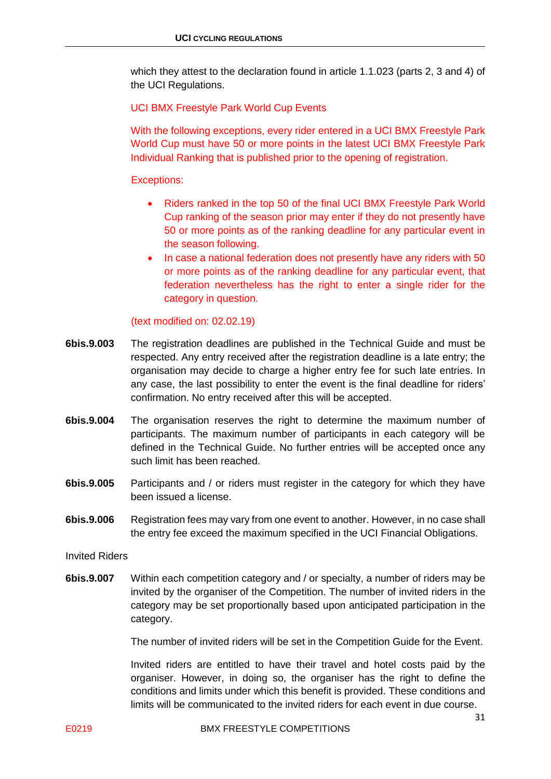which they attest to the declaration found in article 1.1.023 (parts 2, 3 and 4) of the UCI Regulations.

#### UCI BMX Freestyle Park World Cup Events

With the following exceptions, every rider entered in a UCI BMX Freestyle Park World Cup must have 50 or more points in the latest UCI BMX Freestyle Park Individual Ranking that is published prior to the opening of registration.

Exceptions:

- Riders ranked in the top 50 of the final UCI BMX Freestyle Park World Cup ranking of the season prior may enter if they do not presently have 50 or more points as of the ranking deadline for any particular event in the season following.
- In case a national federation does not presently have any riders with 50 or more points as of the ranking deadline for any particular event, that federation nevertheless has the right to enter a single rider for the category in question.

(text modified on: 02.02.19)

- **6bis.9.003** The registration deadlines are published in the Technical Guide and must be respected. Any entry received after the registration deadline is a late entry; the organisation may decide to charge a higher entry fee for such late entries. In any case, the last possibility to enter the event is the final deadline for riders' confirmation. No entry received after this will be accepted.
- **6bis.9.004** The organisation reserves the right to determine the maximum number of participants. The maximum number of participants in each category will be defined in the Technical Guide. No further entries will be accepted once any such limit has been reached.
- **6bis.9.005** Participants and / or riders must register in the category for which they have been issued a license.
- **6bis.9.006** Registration fees may vary from one event to another. However, in no case shall the entry fee exceed the maximum specified in the UCI Financial Obligations.

Invited Riders

**6bis.9.007** Within each competition category and / or specialty, a number of riders may be invited by the organiser of the Competition. The number of invited riders in the category may be set proportionally based upon anticipated participation in the category.

The number of invited riders will be set in the Competition Guide for the Event.

Invited riders are entitled to have their travel and hotel costs paid by the organiser. However, in doing so, the organiser has the right to define the conditions and limits under which this benefit is provided. These conditions and limits will be communicated to the invited riders for each event in due course.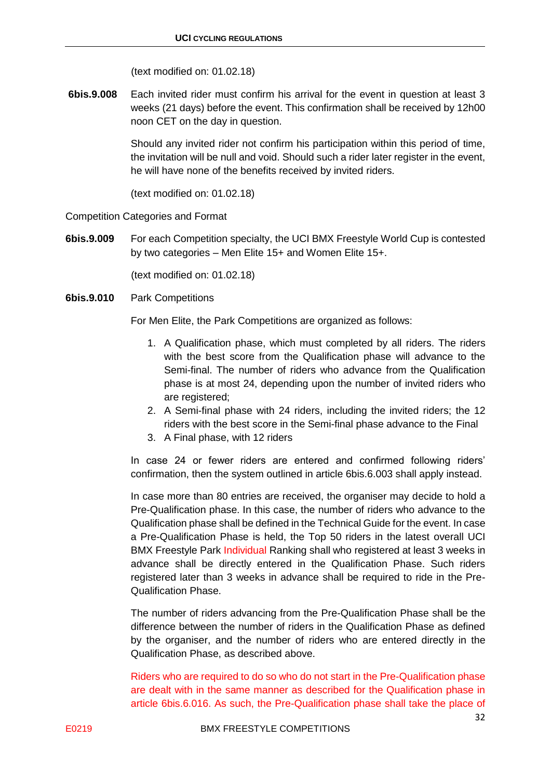(text modified on: 01.02.18)

**6bis.9.008** Each invited rider must confirm his arrival for the event in question at least 3 weeks (21 days) before the event. This confirmation shall be received by 12h00 noon CET on the day in question.

> Should any invited rider not confirm his participation within this period of time, the invitation will be null and void. Should such a rider later register in the event, he will have none of the benefits received by invited riders.

(text modified on: 01.02.18)

Competition Categories and Format

**6bis.9.009** For each Competition specialty, the UCI BMX Freestyle World Cup is contested by two categories – Men Elite 15+ and Women Elite 15+.

(text modified on: 01.02.18)

**6bis.9.010** Park Competitions

For Men Elite, the Park Competitions are organized as follows:

- 1. A Qualification phase, which must completed by all riders. The riders with the best score from the Qualification phase will advance to the Semi-final. The number of riders who advance from the Qualification phase is at most 24, depending upon the number of invited riders who are registered;
- 2. A Semi-final phase with 24 riders, including the invited riders; the 12 riders with the best score in the Semi-final phase advance to the Final
- 3. A Final phase, with 12 riders

In case 24 or fewer riders are entered and confirmed following riders' confirmation, then the system outlined in article 6bis.6.003 shall apply instead.

In case more than 80 entries are received, the organiser may decide to hold a Pre-Qualification phase. In this case, the number of riders who advance to the Qualification phase shall be defined in the Technical Guide for the event. In case a Pre-Qualification Phase is held, the Top 50 riders in the latest overall UCI BMX Freestyle Park Individual Ranking shall who registered at least 3 weeks in advance shall be directly entered in the Qualification Phase. Such riders registered later than 3 weeks in advance shall be required to ride in the Pre-Qualification Phase.

The number of riders advancing from the Pre-Qualification Phase shall be the difference between the number of riders in the Qualification Phase as defined by the organiser, and the number of riders who are entered directly in the Qualification Phase, as described above.

Riders who are required to do so who do not start in the Pre-Qualification phase are dealt with in the same manner as described for the Qualification phase in article 6bis.6.016. As such, the Pre-Qualification phase shall take the place of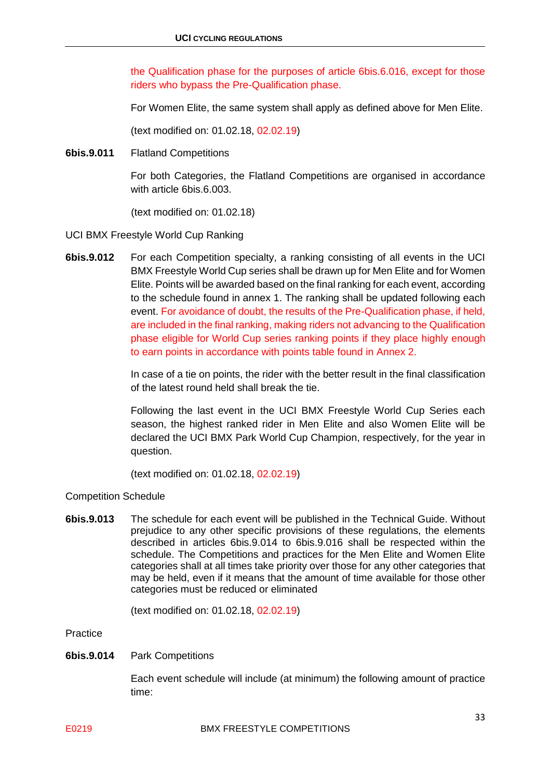the Qualification phase for the purposes of article 6bis.6.016, except for those riders who bypass the Pre-Qualification phase.

For Women Elite, the same system shall apply as defined above for Men Elite.

(text modified on: 01.02.18, 02.02.19)

**6bis.9.011** Flatland Competitions

For both Categories, the Flatland Competitions are organised in accordance with article 6bis.6.003.

(text modified on: 01.02.18)

- UCI BMX Freestyle World Cup Ranking
- **6bis.9.012** For each Competition specialty, a ranking consisting of all events in the UCI BMX Freestyle World Cup series shall be drawn up for Men Elite and for Women Elite. Points will be awarded based on the final ranking for each event, according to the schedule found in annex 1. The ranking shall be updated following each event. For avoidance of doubt, the results of the Pre-Qualification phase, if held, are included in the final ranking, making riders not advancing to the Qualification phase eligible for World Cup series ranking points if they place highly enough to earn points in accordance with points table found in Annex 2.

In case of a tie on points, the rider with the better result in the final classification of the latest round held shall break the tie.

Following the last event in the UCI BMX Freestyle World Cup Series each season, the highest ranked rider in Men Elite and also Women Elite will be declared the UCI BMX Park World Cup Champion, respectively, for the year in question.

(text modified on: 01.02.18, 02.02.19)

Competition Schedule

**6bis.9.013** The schedule for each event will be published in the Technical Guide. Without prejudice to any other specific provisions of these regulations, the elements described in articles 6bis.9.014 to 6bis.9.016 shall be respected within the schedule. The Competitions and practices for the Men Elite and Women Elite categories shall at all times take priority over those for any other categories that may be held, even if it means that the amount of time available for those other categories must be reduced or eliminated

(text modified on: 01.02.18, 02.02.19)

Practice

**6bis.9.014** Park Competitions

Each event schedule will include (at minimum) the following amount of practice time: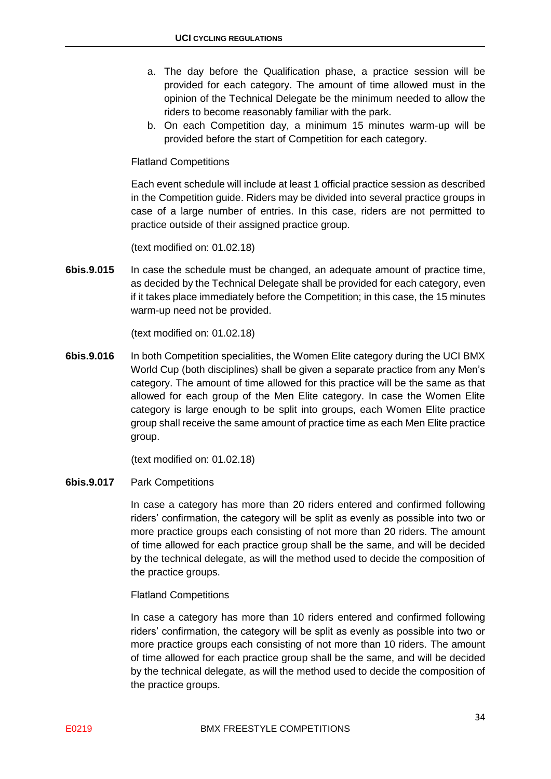- a. The day before the Qualification phase, a practice session will be provided for each category. The amount of time allowed must in the opinion of the Technical Delegate be the minimum needed to allow the riders to become reasonably familiar with the park.
- b. On each Competition day, a minimum 15 minutes warm-up will be provided before the start of Competition for each category.

#### Flatland Competitions

Each event schedule will include at least 1 official practice session as described in the Competition guide. Riders may be divided into several practice groups in case of a large number of entries. In this case, riders are not permitted to practice outside of their assigned practice group.

(text modified on: 01.02.18)

**6bis.9.015** In case the schedule must be changed, an adequate amount of practice time, as decided by the Technical Delegate shall be provided for each category, even if it takes place immediately before the Competition; in this case, the 15 minutes warm-up need not be provided.

(text modified on: 01.02.18)

**6bis.9.016** In both Competition specialities, the Women Elite category during the UCI BMX World Cup (both disciplines) shall be given a separate practice from any Men's category. The amount of time allowed for this practice will be the same as that allowed for each group of the Men Elite category. In case the Women Elite category is large enough to be split into groups, each Women Elite practice group shall receive the same amount of practice time as each Men Elite practice group.

(text modified on: 01.02.18)

#### **6bis.9.017** Park Competitions

In case a category has more than 20 riders entered and confirmed following riders' confirmation, the category will be split as evenly as possible into two or more practice groups each consisting of not more than 20 riders. The amount of time allowed for each practice group shall be the same, and will be decided by the technical delegate, as will the method used to decide the composition of the practice groups.

Flatland Competitions

In case a category has more than 10 riders entered and confirmed following riders' confirmation, the category will be split as evenly as possible into two or more practice groups each consisting of not more than 10 riders. The amount of time allowed for each practice group shall be the same, and will be decided by the technical delegate, as will the method used to decide the composition of the practice groups.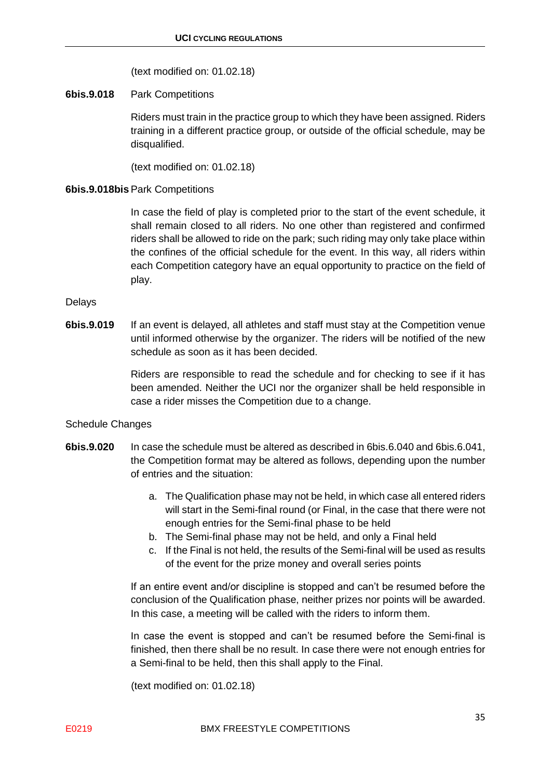(text modified on: 01.02.18)

#### **6bis.9.018** Park Competitions

Riders must train in the practice group to which they have been assigned. Riders training in a different practice group, or outside of the official schedule, may be disqualified.

(text modified on: 01.02.18)

#### **6bis.9.018bis** Park Competitions

In case the field of play is completed prior to the start of the event schedule, it shall remain closed to all riders. No one other than registered and confirmed riders shall be allowed to ride on the park; such riding may only take place within the confines of the official schedule for the event. In this way, all riders within each Competition category have an equal opportunity to practice on the field of play.

#### Delays

**6bis.9.019** If an event is delayed, all athletes and staff must stay at the Competition venue until informed otherwise by the organizer. The riders will be notified of the new schedule as soon as it has been decided.

> Riders are responsible to read the schedule and for checking to see if it has been amended. Neither the UCI nor the organizer shall be held responsible in case a rider misses the Competition due to a change.

#### Schedule Changes

- **6bis.9.020** In case the schedule must be altered as described in 6bis.6.040 and 6bis.6.041, the Competition format may be altered as follows, depending upon the number of entries and the situation:
	- a. The Qualification phase may not be held, in which case all entered riders will start in the Semi-final round (or Final, in the case that there were not enough entries for the Semi-final phase to be held
	- b. The Semi-final phase may not be held, and only a Final held
	- c. If the Final is not held, the results of the Semi-final will be used as results of the event for the prize money and overall series points

If an entire event and/or discipline is stopped and can't be resumed before the conclusion of the Qualification phase, neither prizes nor points will be awarded. In this case, a meeting will be called with the riders to inform them.

In case the event is stopped and can't be resumed before the Semi-final is finished, then there shall be no result. In case there were not enough entries for a Semi-final to be held, then this shall apply to the Final.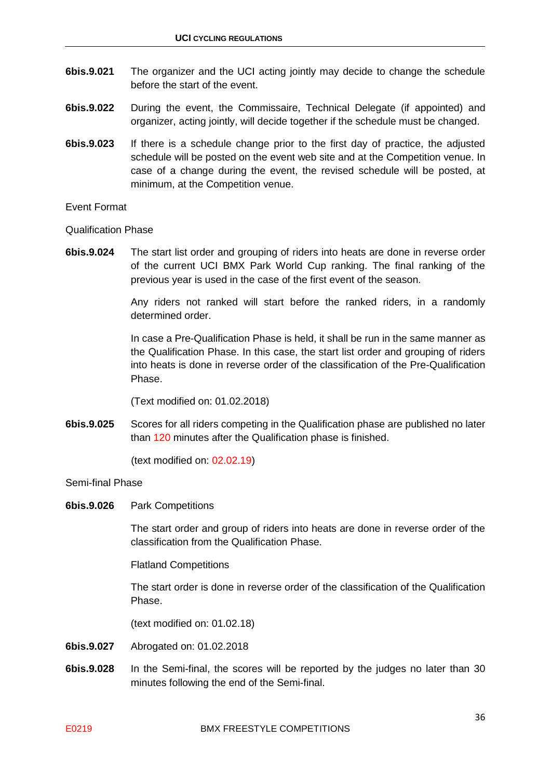- **6bis.9.021** The organizer and the UCI acting jointly may decide to change the schedule before the start of the event.
- **6bis.9.022** During the event, the Commissaire, Technical Delegate (if appointed) and organizer, acting jointly, will decide together if the schedule must be changed.
- **6bis.9.023** If there is a schedule change prior to the first day of practice, the adjusted schedule will be posted on the event web site and at the Competition venue. In case of a change during the event, the revised schedule will be posted, at minimum, at the Competition venue.

Event Format

Qualification Phase

**6bis.9.024** The start list order and grouping of riders into heats are done in reverse order of the current UCI BMX Park World Cup ranking. The final ranking of the previous year is used in the case of the first event of the season.

> Any riders not ranked will start before the ranked riders, in a randomly determined order.

> In case a Pre-Qualification Phase is held, it shall be run in the same manner as the Qualification Phase. In this case, the start list order and grouping of riders into heats is done in reverse order of the classification of the Pre-Qualification Phase.

(Text modified on: 01.02.2018)

**6bis.9.025** Scores for all riders competing in the Qualification phase are published no later than 120 minutes after the Qualification phase is finished.

(text modified on: 02.02.19)

#### Semi-final Phase

**6bis.9.026** Park Competitions

The start order and group of riders into heats are done in reverse order of the classification from the Qualification Phase.

Flatland Competitions

The start order is done in reverse order of the classification of the Qualification Phase.

- **6bis.9.027** Abrogated on: 01.02.2018
- **6bis.9.028** In the Semi-final, the scores will be reported by the judges no later than 30 minutes following the end of the Semi-final.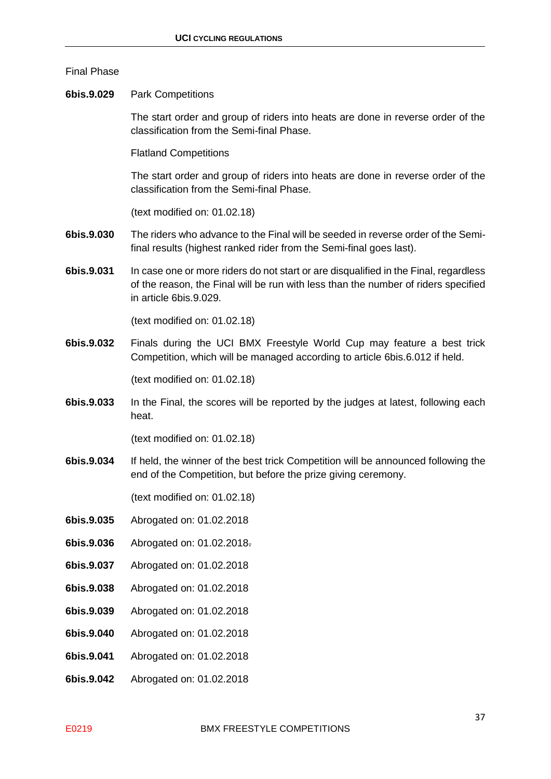#### Final Phase

**6bis.9.029** Park Competitions

The start order and group of riders into heats are done in reverse order of the classification from the Semi-final Phase.

Flatland Competitions

The start order and group of riders into heats are done in reverse order of the classification from the Semi-final Phase.

(text modified on: 01.02.18)

- **6bis.9.030** The riders who advance to the Final will be seeded in reverse order of the Semifinal results (highest ranked rider from the Semi-final goes last).
- **6bis.9.031** In case one or more riders do not start or are disqualified in the Final, regardless of the reason, the Final will be run with less than the number of riders specified in article 6bis.9.029.

(text modified on: 01.02.18)

**6bis.9.032** Finals during the UCI BMX Freestyle World Cup may feature a best trick Competition, which will be managed according to article 6bis.6.012 if held.

(text modified on: 01.02.18)

**6bis.9.033** In the Final, the scores will be reported by the judges at latest, following each heat.

(text modified on: 01.02.18)

**6bis.9.034** If held, the winner of the best trick Competition will be announced following the end of the Competition, but before the prize giving ceremony.

- **6bis.9.035** Abrogated on: 01.02.2018
- **6bis.9.036** Abrogated on: 01.02.2018.
- **6bis.9.037** Abrogated on: 01.02.2018
- **6bis.9.038** Abrogated on: 01.02.2018
- **6bis.9.039** Abrogated on: 01.02.2018
- **6bis.9.040** Abrogated on: 01.02.2018
- **6bis.9.041** Abrogated on: 01.02.2018
- **6bis.9.042** Abrogated on: 01.02.2018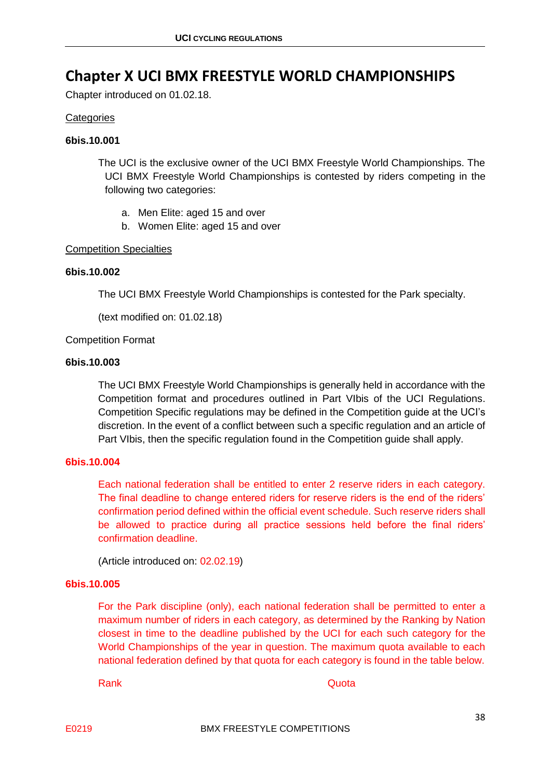### <span id="page-37-0"></span>**Chapter X UCI BMX FREESTYLE WORLD CHAMPIONSHIPS**

Chapter introduced on 01.02.18.

#### **Categories**

#### **6bis.10.001**

The UCI is the exclusive owner of the UCI BMX Freestyle World Championships. The UCI BMX Freestyle World Championships is contested by riders competing in the following two categories:

- a. Men Elite: aged 15 and over
- b. Women Elite: aged 15 and over

#### Competition Specialties

#### **6bis.10.002**

The UCI BMX Freestyle World Championships is contested for the Park specialty.

(text modified on: 01.02.18)

#### Competition Format

#### **6bis.10.003**

The UCI BMX Freestyle World Championships is generally held in accordance with the Competition format and procedures outlined in Part VIbis of the UCI Regulations. Competition Specific regulations may be defined in the Competition guide at the UCI's discretion. In the event of a conflict between such a specific regulation and an article of Part VIbis, then the specific regulation found in the Competition guide shall apply.

#### **6bis.10.004**

Each national federation shall be entitled to enter 2 reserve riders in each category. The final deadline to change entered riders for reserve riders is the end of the riders' confirmation period defined within the official event schedule. Such reserve riders shall be allowed to practice during all practice sessions held before the final riders' confirmation deadline.

(Article introduced on: 02.02.19)

#### **6bis.10.005**

For the Park discipline (only), each national federation shall be permitted to enter a maximum number of riders in each category, as determined by the Ranking by Nation closest in time to the deadline published by the UCI for each such category for the World Championships of the year in question. The maximum quota available to each national federation defined by that quota for each category is found in the table below.

Rank **Rank** Contract Contract Contract Contract Contract Contract Contract Contract Contract Contract Contract Contract Contract Contract Contract Contract Contract Contract Contract Contract Contract Contract Contract Con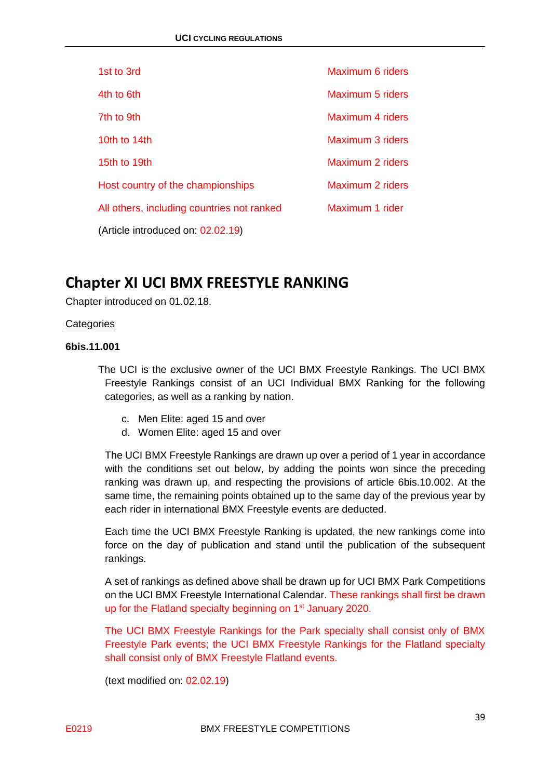| 1st to 3rd                                 | Maximum 6 riders |
|--------------------------------------------|------------------|
| 4th to 6th                                 | Maximum 5 riders |
| 7th to 9th                                 | Maximum 4 riders |
| 10th to $14th$                             | Maximum 3 riders |
| 15th to 19th                               | Maximum 2 riders |
| Host country of the championships          | Maximum 2 riders |
| All others, including countries not ranked | Maximum 1 rider  |
| (Article introduced on: 02.02.19)          |                  |

### <span id="page-38-0"></span>**Chapter XI UCI BMX FREESTYLE RANKING**

Chapter introduced on 01.02.18.

#### **Categories**

#### **6bis.11.001**

The UCI is the exclusive owner of the UCI BMX Freestyle Rankings. The UCI BMX Freestyle Rankings consist of an UCI Individual BMX Ranking for the following categories, as well as a ranking by nation.

- c. Men Elite: aged 15 and over
- d. Women Elite: aged 15 and over

The UCI BMX Freestyle Rankings are drawn up over a period of 1 year in accordance with the conditions set out below, by adding the points won since the preceding ranking was drawn up, and respecting the provisions of article 6bis.10.002. At the same time, the remaining points obtained up to the same day of the previous year by each rider in international BMX Freestyle events are deducted.

Each time the UCI BMX Freestyle Ranking is updated, the new rankings come into force on the day of publication and stand until the publication of the subsequent rankings.

A set of rankings as defined above shall be drawn up for UCI BMX Park Competitions on the UCI BMX Freestyle International Calendar. These rankings shall first be drawn up for the Flatland specialty beginning on 1<sup>st</sup> January 2020.

The UCI BMX Freestyle Rankings for the Park specialty shall consist only of BMX Freestyle Park events; the UCI BMX Freestyle Rankings for the Flatland specialty shall consist only of BMX Freestyle Flatland events.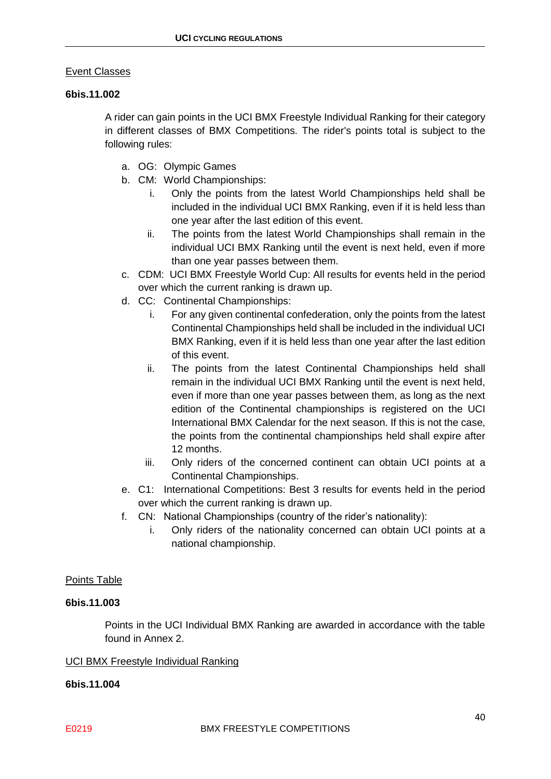#### Event Classes

#### **6bis.11.002**

A rider can gain points in the UCI BMX Freestyle Individual Ranking for their category in different classes of BMX Competitions. The rider's points total is subject to the following rules:

- a. OG: Olympic Games
- b. CM: World Championships:
	- i. Only the points from the latest World Championships held shall be included in the individual UCI BMX Ranking, even if it is held less than one year after the last edition of this event.
	- ii. The points from the latest World Championships shall remain in the individual UCI BMX Ranking until the event is next held, even if more than one year passes between them.
- c. CDM: UCI BMX Freestyle World Cup: All results for events held in the period over which the current ranking is drawn up.
- d. CC: Continental Championships:
	- i. For any given continental confederation, only the points from the latest Continental Championships held shall be included in the individual UCI BMX Ranking, even if it is held less than one year after the last edition of this event.
	- ii. The points from the latest Continental Championships held shall remain in the individual UCI BMX Ranking until the event is next held, even if more than one year passes between them, as long as the next edition of the Continental championships is registered on the UCI International BMX Calendar for the next season. If this is not the case, the points from the continental championships held shall expire after 12 months.
	- iii. Only riders of the concerned continent can obtain UCI points at a Continental Championships.
- e. C1: International Competitions: Best 3 results for events held in the period over which the current ranking is drawn up.
- f. CN: National Championships (country of the rider's nationality):
	- i. Only riders of the nationality concerned can obtain UCI points at a national championship.

#### Points Table

#### **6bis.11.003**

Points in the UCI Individual BMX Ranking are awarded in accordance with the table found in Annex 2.

#### UCI BMX Freestyle Individual Ranking

#### **6bis.11.004**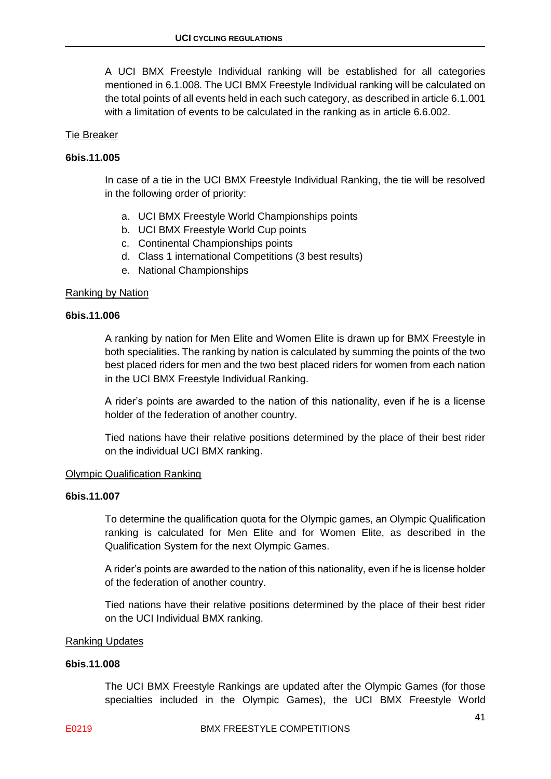A UCI BMX Freestyle Individual ranking will be established for all categories mentioned in 6.1.008. The UCI BMX Freestyle Individual ranking will be calculated on the total points of all events held in each such category, as described in article 6.1.001 with a limitation of events to be calculated in the ranking as in article 6.6.002.

#### Tie Breaker

#### **6bis.11.005**

In case of a tie in the UCI BMX Freestyle Individual Ranking, the tie will be resolved in the following order of priority:

- a. UCI BMX Freestyle World Championships points
- b. UCI BMX Freestyle World Cup points
- c. Continental Championships points
- d. Class 1 international Competitions (3 best results)
- e. National Championships

#### Ranking by Nation

#### **6bis.11.006**

A ranking by nation for Men Elite and Women Elite is drawn up for BMX Freestyle in both specialities. The ranking by nation is calculated by summing the points of the two best placed riders for men and the two best placed riders for women from each nation in the UCI BMX Freestyle Individual Ranking.

A rider's points are awarded to the nation of this nationality, even if he is a license holder of the federation of another country.

Tied nations have their relative positions determined by the place of their best rider on the individual UCI BMX ranking.

#### Olympic Qualification Ranking

#### **6bis.11.007**

To determine the qualification quota for the Olympic games, an Olympic Qualification ranking is calculated for Men Elite and for Women Elite, as described in the Qualification System for the next Olympic Games.

A rider's points are awarded to the nation of this nationality, even if he is license holder of the federation of another country.

Tied nations have their relative positions determined by the place of their best rider on the UCI Individual BMX ranking.

#### Ranking Updates

#### **6bis.11.008**

The UCI BMX Freestyle Rankings are updated after the Olympic Games (for those specialties included in the Olympic Games), the UCI BMX Freestyle World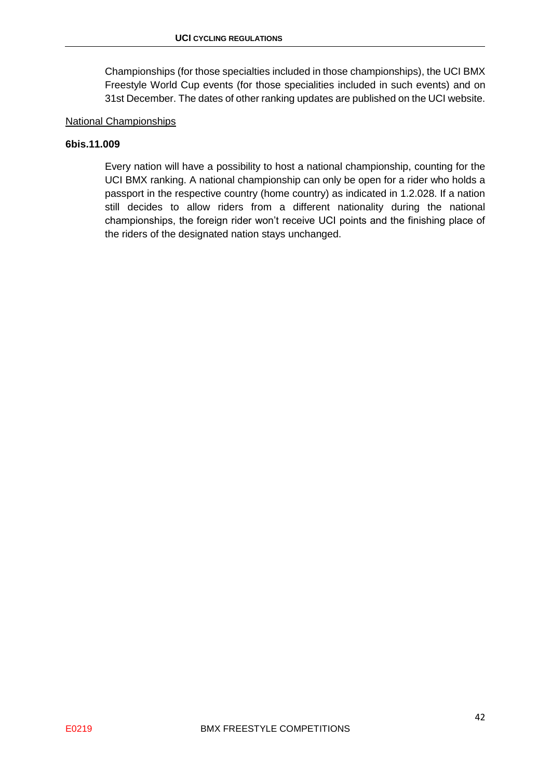Championships (for those specialties included in those championships), the UCI BMX Freestyle World Cup events (for those specialities included in such events) and on 31st December. The dates of other ranking updates are published on the UCI website.

#### National Championships

#### **6bis.11.009**

Every nation will have a possibility to host a national championship, counting for the UCI BMX ranking. A national championship can only be open for a rider who holds a passport in the respective country (home country) as indicated in 1.2.028. If a nation still decides to allow riders from a different nationality during the national championships, the foreign rider won't receive UCI points and the finishing place of the riders of the designated nation stays unchanged.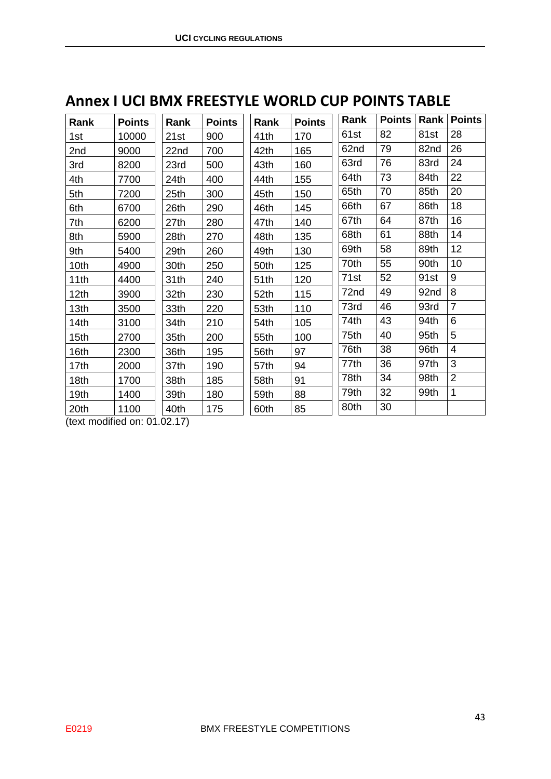| Rank | <b>Points</b> | Rank | <b>Points</b> | Rank             | <b>Points</b> | Rank | <b>Points</b> | Rank | <b>Points</b>  |
|------|---------------|------|---------------|------------------|---------------|------|---------------|------|----------------|
| 1st  | 10000         | 21st | 900           | 41th             | 170           | 61st | 82            | 81st | 28             |
| 2nd  | 9000          | 22nd | 700           | 42th             | 165           | 62nd | 79            | 82nd | 26             |
| 3rd  | 8200          | 23rd | 500           | 43th             | 160           | 63rd | 76            | 83rd | 24             |
| 4th  | 7700          | 24th | 400           | 44th             | 155           | 64th | 73            | 84th | 22             |
| 5th  | 7200          | 25th | 300           | 45th             | 150           | 65th | 70            | 85th | 20             |
| 6th  | 6700          | 26th | 290           | 46th             | 145           | 66th | 67            | 86th | 18             |
| 7th  | 6200          | 27th | 280           | 47th             | 140           | 67th | 64            | 87th | 16             |
| 8th  | 5900          | 28th | 270           | 48th             | 135           | 68th | 61            | 88th | 14             |
| 9th  | 5400          | 29th | 260           | 49th             | 130           | 69th | 58            | 89th | 12             |
| 10th | 4900          | 30th | 250           | 50th             | 125           | 70th | 55            | 90th | 10             |
| 11th | 4400          | 31th | 240           | 51 <sub>th</sub> | 120           | 71st | 52            | 91st | 9              |
| 12th | 3900          | 32th | 230           | 52th             | 115           | 72nd | 49            | 92nd | 8              |
| 13th | 3500          | 33th | 220           | 53th             | 110           | 73rd | 46            | 93rd | $\overline{7}$ |
| 14th | 3100          | 34th | 210           | 54th             | 105           | 74th | 43            | 94th | 6              |
| 15th | 2700          | 35th | 200           | 55th             | 100           | 75th | 40            | 95th | 5              |
| 16th | 2300          | 36th | 195           | 56th             | 97            | 76th | 38            | 96th | $\overline{4}$ |
| 17th | 2000          | 37th | 190           | 57th             | 94            | 77th | 36            | 97th | 3              |
| 18th | 1700          | 38th | 185           | 58th             | 91            | 78th | 34            | 98th | $\overline{2}$ |
| 19th | 1400          | 39th | 180           | 59th             | 88            | 79th | 32            | 99th | 1              |
| 20th | 1100          | 40th | 175           | 60th             | 85            | 80th | 30            |      |                |

## <span id="page-42-0"></span>**Annex I UCI BMX FREESTYLE WORLD CUP POINTS TABLE**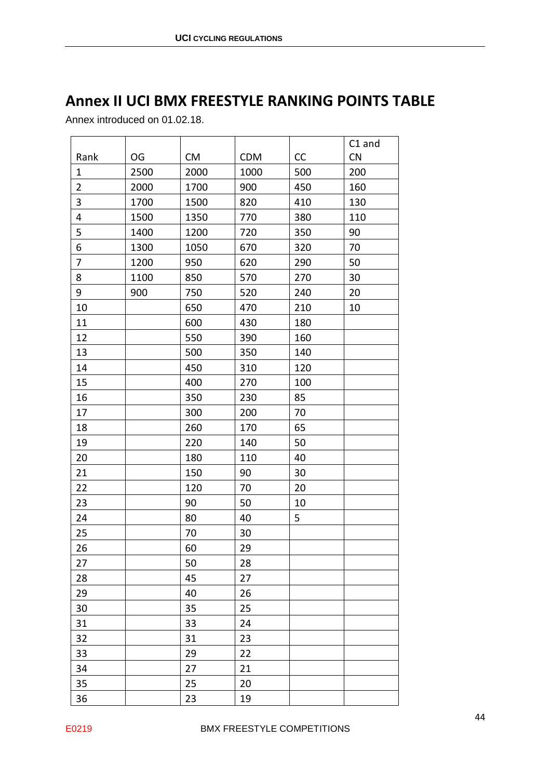# <span id="page-43-0"></span>**Annex II UCI BMX FREESTYLE RANKING POINTS TABLE**

Annex introduced on 01.02.18.

|                |      |           |            |     | C1 and |
|----------------|------|-----------|------------|-----|--------|
| Rank           | OG   | <b>CM</b> | <b>CDM</b> | CC  | CN     |
| $\mathbf{1}$   | 2500 | 2000      | 1000       | 500 | 200    |
| $\overline{2}$ | 2000 | 1700      | 900        | 450 | 160    |
| $\mathbf{3}$   | 1700 | 1500      | 820        | 410 | 130    |
| 4              | 1500 | 1350      | 770        | 380 | 110    |
| 5              | 1400 | 1200      | 720        | 350 | 90     |
| 6              | 1300 | 1050      | 670        | 320 | 70     |
| $\overline{7}$ | 1200 | 950       | 620        | 290 | 50     |
| 8              | 1100 | 850       | 570        | 270 | 30     |
| 9              | 900  | 750       | 520        | 240 | 20     |
| 10             |      | 650       | 470        | 210 | 10     |
| 11             |      | 600       | 430        | 180 |        |
| 12             |      | 550       | 390        | 160 |        |
| 13             |      | 500       | 350        | 140 |        |
| 14             |      | 450       | 310        | 120 |        |
| 15             |      | 400       | 270        | 100 |        |
| 16             |      | 350       | 230        | 85  |        |
| 17             |      | 300       | 200        | 70  |        |
| 18             |      | 260       | 170        | 65  |        |
| 19             |      | 220       | 140        | 50  |        |
| 20             |      | 180       | 110        | 40  |        |
| 21             |      | 150       | 90         | 30  |        |
| 22             |      | 120       | 70         | 20  |        |
| 23             |      | 90        | 50         | 10  |        |
| 24             |      | 80        | 40         | 5   |        |
| 25             |      | 70        | 30         |     |        |
| 26             |      | 60        | 29         |     |        |
| 27             |      | 50        | 28         |     |        |
| 28             |      | 45        | 27         |     |        |
| 29             |      | 40        | 26         |     |        |
| 30             |      | 35        | 25         |     |        |
| 31             |      | 33        | 24         |     |        |
| 32             |      | 31        | 23         |     |        |
| 33             |      | 29        | 22         |     |        |
| 34             |      | 27        | 21         |     |        |
| 35             |      | 25        | 20         |     |        |
| 36             |      | 23        | 19         |     |        |